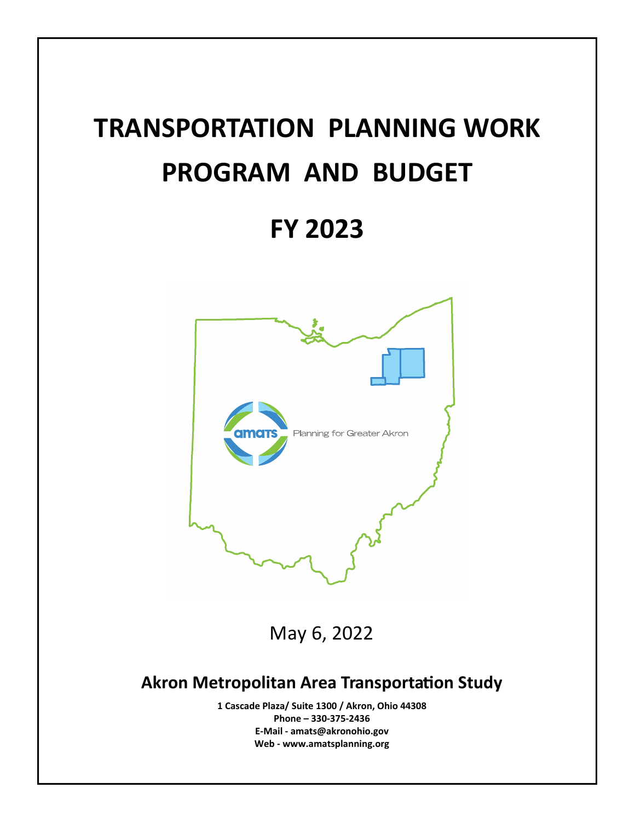# **TRANSPORTATION PLANNING WORK PROGRAM AND BUDGET**

## **FY 2023**



May 6, 2022

## **Akron Metropolitan Area TransportaƟon Study**

**1 Cascade Plaza/ Suite 1300 / Akron, Ohio 44308 Phone – 330‐375‐2436 E‐Mail ‐ amats@akronohio.gov Web ‐ www.amatsplanning.org**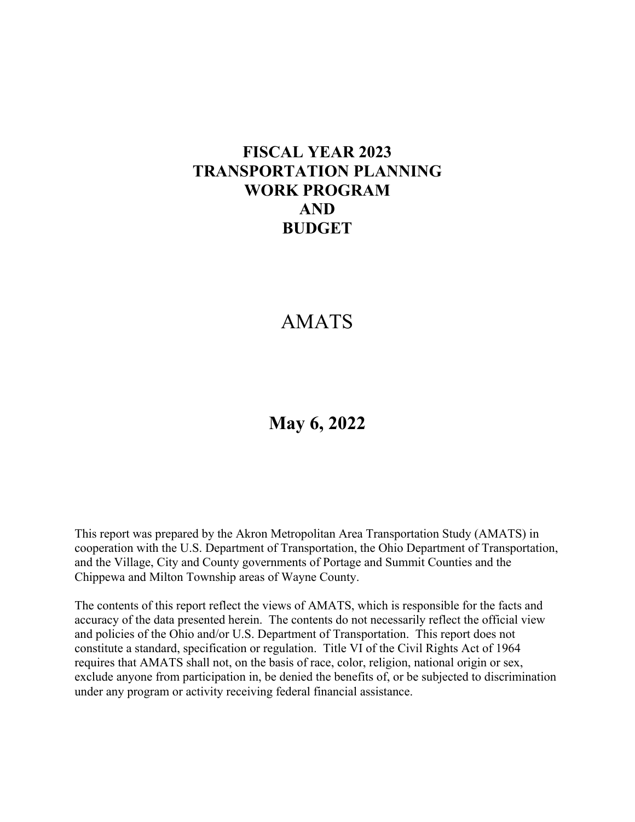## **FISCAL YEAR 2023 TRANSPORTATION PLANNING WORK PROGRAM AND BUDGET**

## AMATS

## **May 6, 2022**

This report was prepared by the Akron Metropolitan Area Transportation Study (AMATS) in cooperation with the U.S. Department of Transportation, the Ohio Department of Transportation, and the Village, City and County governments of Portage and Summit Counties and the Chippewa and Milton Township areas of Wayne County.

The contents of this report reflect the views of AMATS, which is responsible for the facts and accuracy of the data presented herein. The contents do not necessarily reflect the official view and policies of the Ohio and/or U.S. Department of Transportation. This report does not constitute a standard, specification or regulation. Title VI of the Civil Rights Act of 1964 requires that AMATS shall not, on the basis of race, color, religion, national origin or sex, exclude anyone from participation in, be denied the benefits of, or be subjected to discrimination under any program or activity receiving federal financial assistance.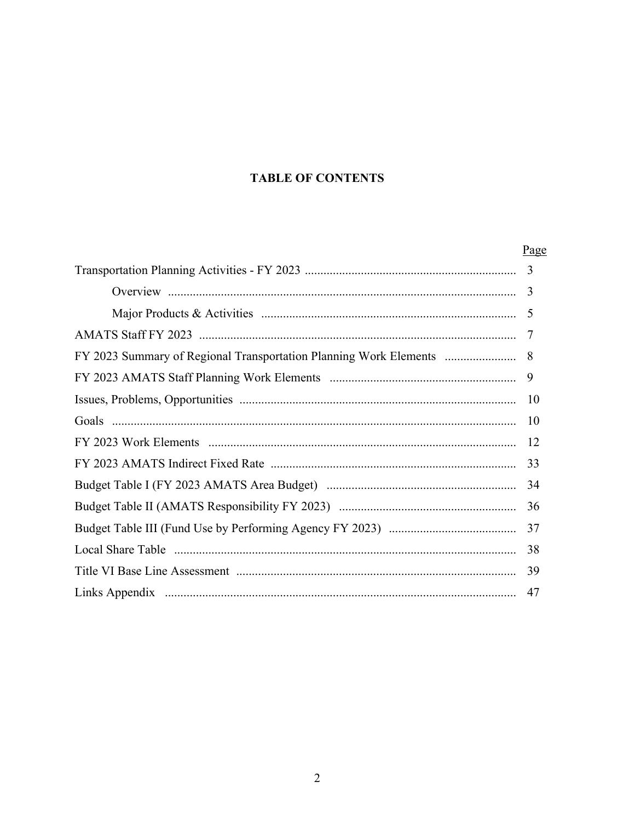#### **TABLE OF CONTENTS**

|                                                                   | Page |
|-------------------------------------------------------------------|------|
|                                                                   | 3    |
|                                                                   | 3    |
|                                                                   |      |
|                                                                   |      |
| FY 2023 Summary of Regional Transportation Planning Work Elements | 8    |
|                                                                   | 9    |
|                                                                   | 10   |
|                                                                   |      |
|                                                                   |      |
|                                                                   | 33   |
|                                                                   |      |
|                                                                   |      |
|                                                                   |      |
|                                                                   | 38   |
|                                                                   | 39   |
|                                                                   |      |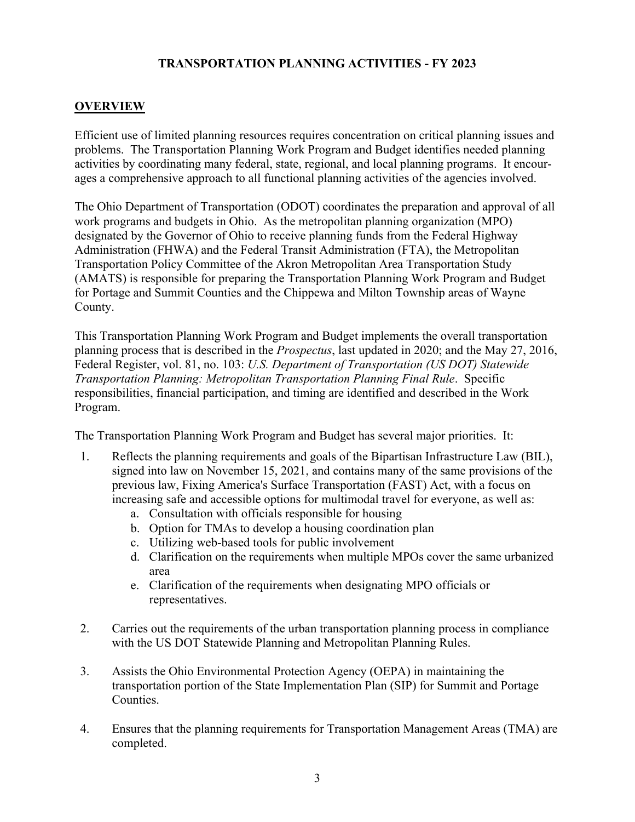#### **TRANSPORTATION PLANNING ACTIVITIES - FY 2023**

#### **OVERVIEW**

Efficient use of limited planning resources requires concentration on critical planning issues and problems. The Transportation Planning Work Program and Budget identifies needed planning activities by coordinating many federal, state, regional, and local planning programs. It encourages a comprehensive approach to all functional planning activities of the agencies involved.

The Ohio Department of Transportation (ODOT) coordinates the preparation and approval of all work programs and budgets in Ohio. As the metropolitan planning organization (MPO) designated by the Governor of Ohio to receive planning funds from the Federal Highway Administration (FHWA) and the Federal Transit Administration (FTA), the Metropolitan Transportation Policy Committee of the Akron Metropolitan Area Transportation Study (AMATS) is responsible for preparing the Transportation Planning Work Program and Budget for Portage and Summit Counties and the Chippewa and Milton Township areas of Wayne County.

This Transportation Planning Work Program and Budget implements the overall transportation planning process that is described in the *Prospectus*, last updated in 2020; and the May 27, 2016, Federal Register, vol. 81, no. 103: *U.S. Department of Transportation (US DOT) Statewide Transportation Planning: Metropolitan Transportation Planning Final Rule*. Specific responsibilities, financial participation, and timing are identified and described in the Work Program.

The Transportation Planning Work Program and Budget has several major priorities. It:

- 1. Reflects the planning requirements and goals of the Bipartisan Infrastructure Law (BIL), signed into law on November 15, 2021, and contains many of the same provisions of the previous law, Fixing America's Surface Transportation (FAST) Act, with a focus on increasing safe and accessible options for multimodal travel for everyone, as well as:
	- a. Consultation with officials responsible for housing
	- b. Option for TMAs to develop a housing coordination plan
	- c. Utilizing web-based tools for public involvement
	- d. Clarification on the requirements when multiple MPOs cover the same urbanized area
	- e. Clarification of the requirements when designating MPO officials or representatives.
- 2. Carries out the requirements of the urban transportation planning process in compliance with the US DOT Statewide Planning and Metropolitan Planning Rules.
- 3. Assists the Ohio Environmental Protection Agency (OEPA) in maintaining the transportation portion of the State Implementation Plan (SIP) for Summit and Portage Counties.
- 4. Ensures that the planning requirements for Transportation Management Areas (TMA) are completed.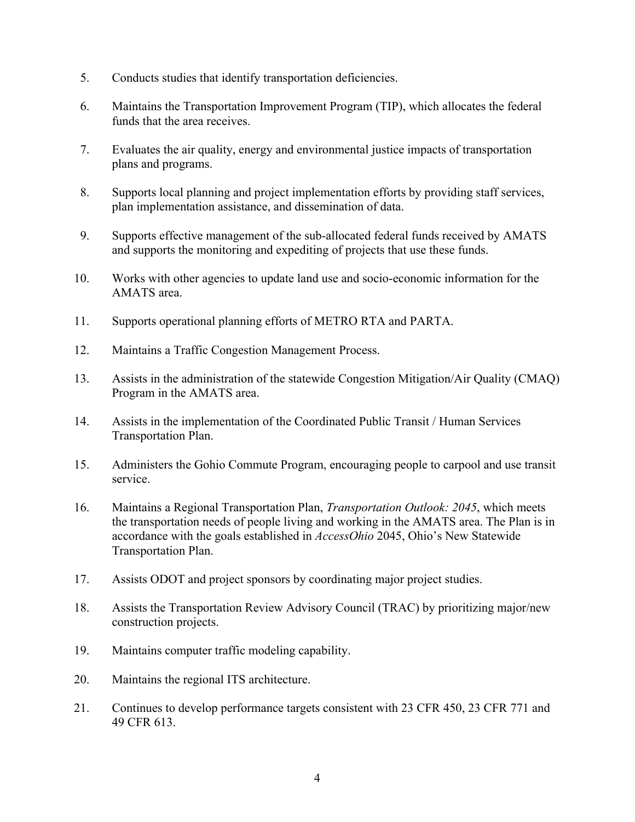- 5. Conducts studies that identify transportation deficiencies.
- 6. Maintains the Transportation Improvement Program (TIP), which allocates the federal funds that the area receives.
- 7. Evaluates the air quality, energy and environmental justice impacts of transportation plans and programs.
- 8. Supports local planning and project implementation efforts by providing staff services, plan implementation assistance, and dissemination of data.
- 9. Supports effective management of the sub-allocated federal funds received by AMATS and supports the monitoring and expediting of projects that use these funds.
- 10. Works with other agencies to update land use and socio-economic information for the AMATS area.
- 11. Supports operational planning efforts of METRO RTA and PARTA.
- 12. Maintains a Traffic Congestion Management Process.
- 13. Assists in the administration of the statewide Congestion Mitigation/Air Quality (CMAQ) Program in the AMATS area.
- 14. Assists in the implementation of the Coordinated Public Transit / Human Services Transportation Plan.
- 15. Administers the Gohio Commute Program, encouraging people to carpool and use transit service.
- 16. Maintains a Regional Transportation Plan, *Transportation Outlook: 2045*, which meets the transportation needs of people living and working in the AMATS area. The Plan is in accordance with the goals established in *AccessOhio* 2045, Ohio's New Statewide Transportation Plan.
- 17. Assists ODOT and project sponsors by coordinating major project studies.
- 18. Assists the Transportation Review Advisory Council (TRAC) by prioritizing major/new construction projects.
- 19. Maintains computer traffic modeling capability.
- 20. Maintains the regional ITS architecture.
- 21. Continues to develop performance targets consistent with 23 CFR 450, 23 CFR 771 and 49 CFR 613.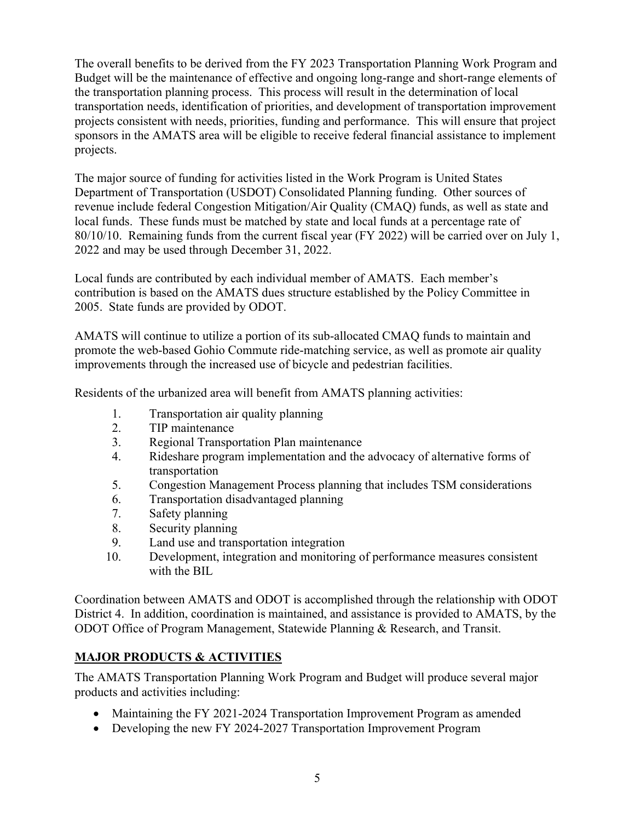The overall benefits to be derived from the FY 2023 Transportation Planning Work Program and Budget will be the maintenance of effective and ongoing long-range and short-range elements of the transportation planning process. This process will result in the determination of local transportation needs, identification of priorities, and development of transportation improvement projects consistent with needs, priorities, funding and performance. This will ensure that project sponsors in the AMATS area will be eligible to receive federal financial assistance to implement projects.

The major source of funding for activities listed in the Work Program is United States Department of Transportation (USDOT) Consolidated Planning funding. Other sources of revenue include federal Congestion Mitigation/Air Quality (CMAQ) funds, as well as state and local funds. These funds must be matched by state and local funds at a percentage rate of 80/10/10. Remaining funds from the current fiscal year (FY 2022) will be carried over on July 1, 2022 and may be used through December 31, 2022.

Local funds are contributed by each individual member of AMATS. Each member's contribution is based on the AMATS dues structure established by the Policy Committee in 2005. State funds are provided by ODOT.

AMATS will continue to utilize a portion of its sub-allocated CMAQ funds to maintain and promote the web-based Gohio Commute ride-matching service, as well as promote air quality improvements through the increased use of bicycle and pedestrian facilities.

Residents of the urbanized area will benefit from AMATS planning activities:

- 1. Transportation air quality planning
- 2. TIP maintenance
- 3. Regional Transportation Plan maintenance
- 4. Rideshare program implementation and the advocacy of alternative forms of transportation
- 5. Congestion Management Process planning that includes TSM considerations
- 6. Transportation disadvantaged planning
- 7. Safety planning
- 8. Security planning
- 9. Land use and transportation integration
- 10. Development, integration and monitoring of performance measures consistent with the BIL

Coordination between AMATS and ODOT is accomplished through the relationship with ODOT District 4. In addition, coordination is maintained, and assistance is provided to AMATS, by the ODOT Office of Program Management, Statewide Planning & Research, and Transit.

#### **MAJOR PRODUCTS & ACTIVITIES**

The AMATS Transportation Planning Work Program and Budget will produce several major products and activities including:

- Maintaining the FY 2021-2024 Transportation Improvement Program as amended
- Developing the new FY 2024-2027 Transportation Improvement Program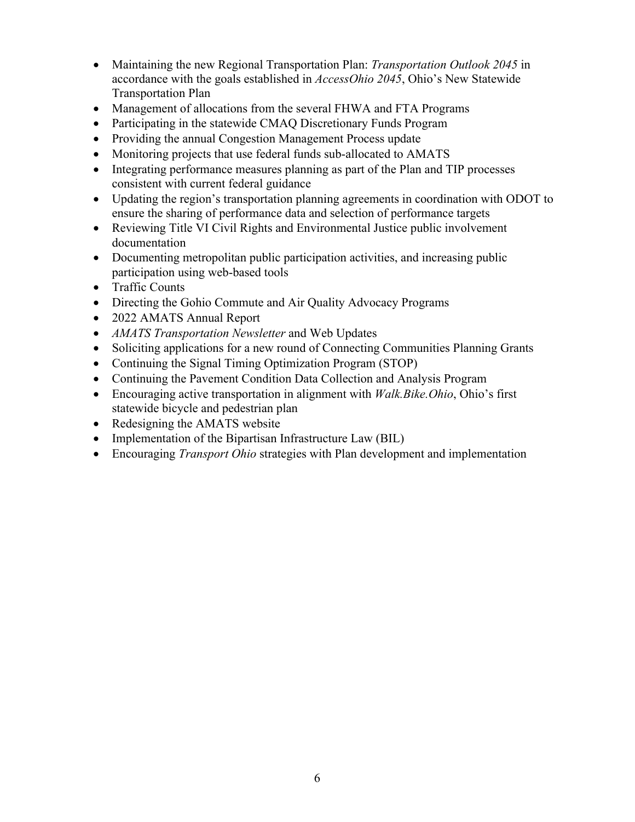- Maintaining the new Regional Transportation Plan: *Transportation Outlook 2045* in accordance with the goals established in *AccessOhio 2045*, Ohio's New Statewide Transportation Plan
- Management of allocations from the several FHWA and FTA Programs
- Participating in the statewide CMAQ Discretionary Funds Program
- Providing the annual Congestion Management Process update
- Monitoring projects that use federal funds sub-allocated to AMATS
- Integrating performance measures planning as part of the Plan and TIP processes consistent with current federal guidance
- Updating the region's transportation planning agreements in coordination with ODOT to ensure the sharing of performance data and selection of performance targets
- Reviewing Title VI Civil Rights and Environmental Justice public involvement documentation
- Documenting metropolitan public participation activities, and increasing public participation using web-based tools
- Traffic Counts
- Directing the Gohio Commute and Air Quality Advocacy Programs
- 2022 AMATS Annual Report
- *AMATS Transportation Newsletter* and Web Updates
- Soliciting applications for a new round of Connecting Communities Planning Grants
- Continuing the Signal Timing Optimization Program (STOP)
- Continuing the Pavement Condition Data Collection and Analysis Program
- Encouraging active transportation in alignment with *Walk.Bike.Ohio*, Ohio's first statewide bicycle and pedestrian plan
- Redesigning the AMATS website
- Implementation of the Bipartisan Infrastructure Law (BIL)
- Encouraging *Transport Ohio* strategies with Plan development and implementation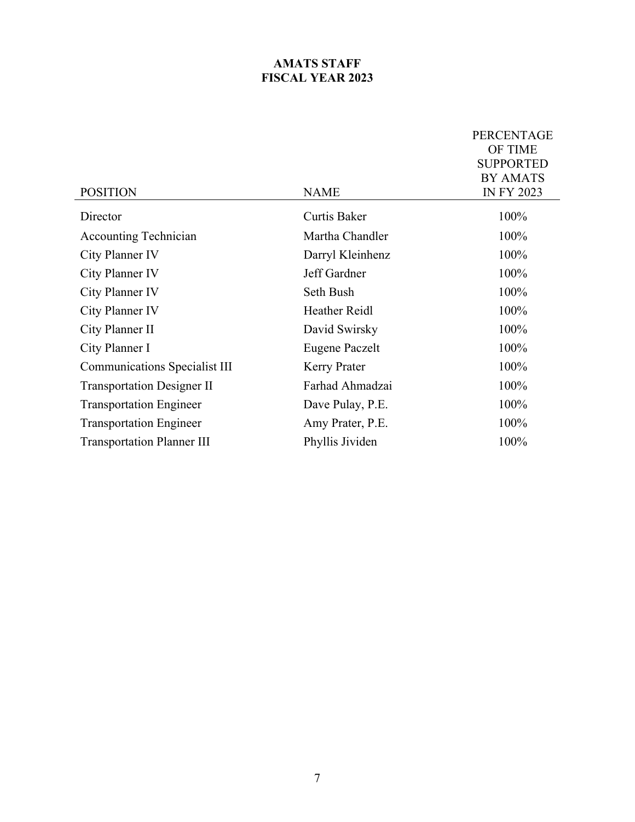#### **AMATS STAFF FISCAL YEAR 2023**

|                                      |                       | <b>PERCENTAGE</b> |
|--------------------------------------|-----------------------|-------------------|
|                                      |                       | OF TIME           |
|                                      |                       | <b>SUPPORTED</b>  |
|                                      |                       | <b>BY AMATS</b>   |
| <b>POSITION</b>                      | <b>NAME</b>           | <b>IN FY 2023</b> |
| Director                             | <b>Curtis Baker</b>   | 100%              |
| <b>Accounting Technician</b>         | Martha Chandler       | 100%              |
| City Planner IV                      | Darryl Kleinhenz      | 100%              |
| City Planner IV                      | Jeff Gardner          | 100%              |
| City Planner IV                      | Seth Bush             | 100%              |
| City Planner IV                      | <b>Heather Reidl</b>  | 100%              |
| City Planner II                      | David Swirsky         | 100%              |
| City Planner I                       | <b>Eugene Paczelt</b> | 100%              |
| <b>Communications Specialist III</b> | <b>Kerry Prater</b>   | 100%              |
| <b>Transportation Designer II</b>    | Farhad Ahmadzai       | 100%              |
| <b>Transportation Engineer</b>       | Dave Pulay, P.E.      | 100%              |
| <b>Transportation Engineer</b>       | Amy Prater, P.E.      | 100%              |
| <b>Transportation Planner III</b>    | Phyllis Jividen       | 100%              |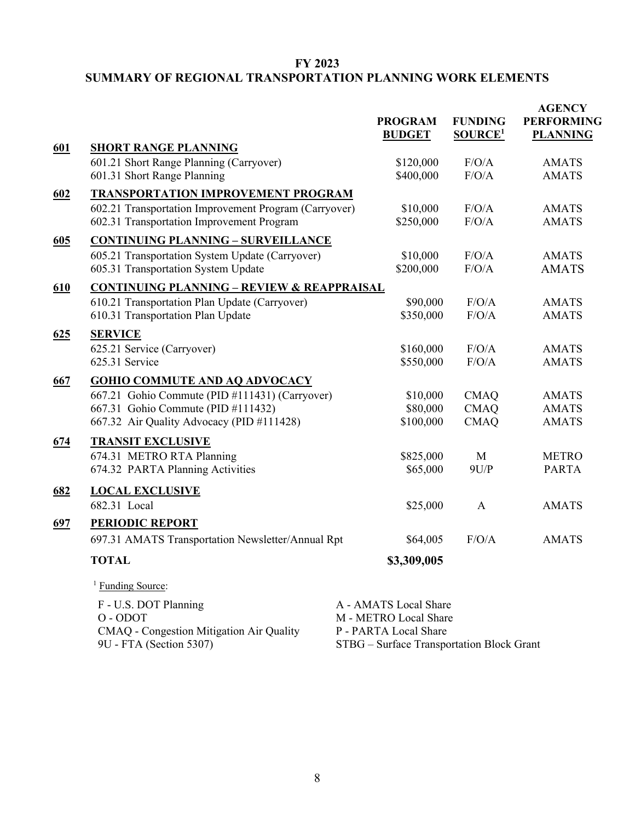#### **FY 2023**

#### **SUMMARY OF REGIONAL TRANSPORTATION PLANNING WORK ELEMENTS**

|     |                                                                                                    | <b>PROGRAM</b><br><b>BUDGET</b>                                    | <b>FUNDING</b><br><b>SOURCE</b> <sup>1</sup> | <b>AGENCY</b><br><b>PERFORMING</b><br><b>PLANNING</b> |
|-----|----------------------------------------------------------------------------------------------------|--------------------------------------------------------------------|----------------------------------------------|-------------------------------------------------------|
| 601 | <b>SHORT RANGE PLANNING</b>                                                                        |                                                                    |                                              |                                                       |
|     | 601.21 Short Range Planning (Carryover)<br>601.31 Short Range Planning                             | \$120,000<br>\$400,000                                             | F/O/A<br>F/O/A                               | <b>AMATS</b><br><b>AMATS</b>                          |
| 602 | <b>TRANSPORTATION IMPROVEMENT PROGRAM</b>                                                          |                                                                    |                                              |                                                       |
|     | 602.21 Transportation Improvement Program (Carryover)<br>602.31 Transportation Improvement Program | \$10,000<br>\$250,000                                              | F/O/A<br>F/O/A                               | <b>AMATS</b><br><b>AMATS</b>                          |
| 605 | <b>CONTINUING PLANNING - SURVEILLANCE</b>                                                          |                                                                    |                                              |                                                       |
|     | 605.21 Transportation System Update (Carryover)<br>605.31 Transportation System Update             | \$10,000<br>\$200,000                                              | F/O/A<br>F/O/A                               | <b>AMATS</b><br><b>AMATS</b>                          |
| 610 | <b>CONTINUING PLANNING - REVIEW &amp; REAPPRAISAL</b>                                              |                                                                    |                                              |                                                       |
|     | 610.21 Transportation Plan Update (Carryover)<br>610.31 Transportation Plan Update                 | \$90,000<br>\$350,000                                              | F/O/A<br>F/O/A                               | <b>AMATS</b><br><b>AMATS</b>                          |
| 625 | <b>SERVICE</b>                                                                                     |                                                                    |                                              |                                                       |
|     | 625.21 Service (Carryover)<br>625.31 Service                                                       | \$160,000<br>\$550,000                                             | F/O/A<br>F/O/A                               | <b>AMATS</b><br><b>AMATS</b>                          |
| 667 | <b>GOHIO COMMUTE AND AQ ADVOCACY</b>                                                               |                                                                    |                                              |                                                       |
|     | 667.21 Gohio Commute (PID #111431) (Carryover)<br>667.31 Gohio Commute (PID #111432)               | \$10,000<br>\$80,000                                               | <b>CMAQ</b><br><b>CMAQ</b>                   | <b>AMATS</b><br><b>AMATS</b>                          |
|     | 667.32 Air Quality Advocacy (PID #111428)                                                          | \$100,000                                                          | <b>CMAQ</b>                                  | <b>AMATS</b>                                          |
| 674 | <b>TRANSIT EXCLUSIVE</b>                                                                           |                                                                    |                                              |                                                       |
|     | 674.31 METRO RTA Planning                                                                          | \$825,000                                                          | M                                            | <b>METRO</b>                                          |
|     | 674.32 PARTA Planning Activities                                                                   | \$65,000                                                           | 9U/P                                         | <b>PARTA</b>                                          |
| 682 | <b>LOCAL EXCLUSIVE</b>                                                                             |                                                                    |                                              |                                                       |
|     | 682.31 Local                                                                                       | \$25,000                                                           | $\mathsf{A}$                                 | <b>AMATS</b>                                          |
| 697 | <b>PERIODIC REPORT</b>                                                                             |                                                                    |                                              |                                                       |
|     | 697.31 AMATS Transportation Newsletter/Annual Rpt                                                  | \$64,005                                                           | F/O/A                                        | <b>AMATS</b>                                          |
|     | <b>TOTAL</b>                                                                                       | \$3,309,005                                                        |                                              |                                                       |
|     | <sup>1</sup> Funding Source:                                                                       |                                                                    |                                              |                                                       |
|     | F - U.S. DOT Planning                                                                              | A - AMATS Local Share                                              |                                              |                                                       |
|     | O - ODOT                                                                                           | M - METRO Local Share                                              |                                              |                                                       |
|     | CMAQ - Congestion Mitigation Air Quality<br>9U - FTA (Section 5307)                                | P - PARTA Local Share<br>STBG - Surface Transportation Block Grant |                                              |                                                       |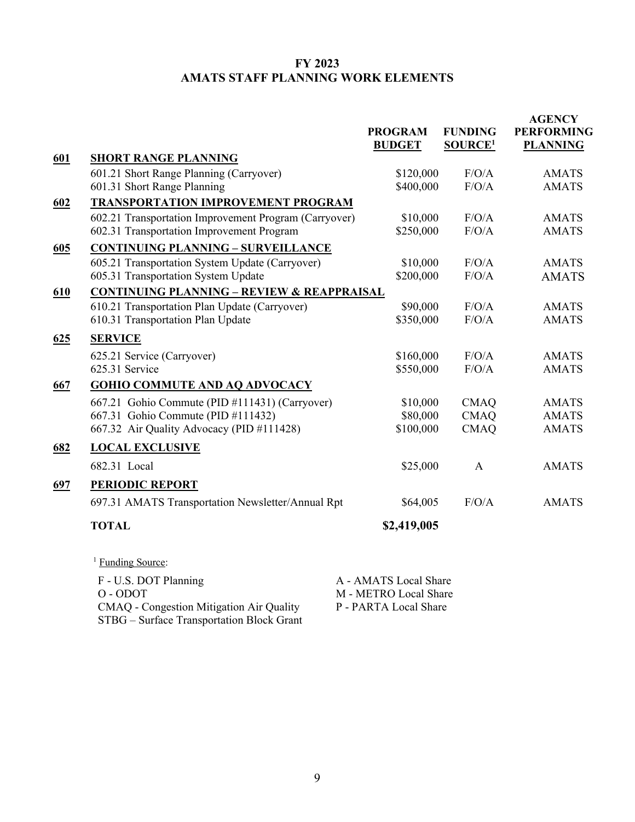#### **FY 2023 AMATS STAFF PLANNING WORK ELEMENTS**

|     |                                                       | <b>PROGRAM</b><br><b>BUDGET</b> | <b>FUNDING</b><br>SOURCE <sup>1</sup> | <b>AGENCY</b><br><b>PERFORMING</b><br><b>PLANNING</b> |
|-----|-------------------------------------------------------|---------------------------------|---------------------------------------|-------------------------------------------------------|
| 601 | <b>SHORT RANGE PLANNING</b>                           |                                 |                                       |                                                       |
|     | 601.21 Short Range Planning (Carryover)               | \$120,000                       | F/O/A                                 | <b>AMATS</b>                                          |
|     | 601.31 Short Range Planning                           | \$400,000                       | F/O/A                                 | <b>AMATS</b>                                          |
| 602 | <b>TRANSPORTATION IMPROVEMENT PROGRAM</b>             |                                 |                                       |                                                       |
|     | 602.21 Transportation Improvement Program (Carryover) | \$10,000                        | F/O/A                                 | <b>AMATS</b>                                          |
|     | 602.31 Transportation Improvement Program             | \$250,000                       | F/O/A                                 | <b>AMATS</b>                                          |
| 605 | <b>CONTINUING PLANNING - SURVEILLANCE</b>             |                                 |                                       |                                                       |
|     | 605.21 Transportation System Update (Carryover)       | \$10,000                        | F/O/A                                 | <b>AMATS</b>                                          |
|     | 605.31 Transportation System Update                   | \$200,000                       | F/O/A                                 | <b>AMATS</b>                                          |
| 610 | <b>CONTINUING PLANNING - REVIEW &amp; REAPPRAISAL</b> |                                 |                                       |                                                       |
|     | 610.21 Transportation Plan Update (Carryover)         | \$90,000                        | F/O/A                                 | <b>AMATS</b>                                          |
|     | 610.31 Transportation Plan Update                     | \$350,000                       | F/O/A                                 | <b>AMATS</b>                                          |
| 625 | <b>SERVICE</b>                                        |                                 |                                       |                                                       |
|     | 625.21 Service (Carryover)                            | \$160,000                       | F/O/A                                 | <b>AMATS</b>                                          |
|     | 625.31 Service                                        | \$550,000                       | F/O/A                                 | <b>AMATS</b>                                          |
| 667 | <b>GOHIO COMMUTE AND AQ ADVOCACY</b>                  |                                 |                                       |                                                       |
|     | 667.21 Gohio Commute (PID #111431) (Carryover)        | \$10,000                        | <b>CMAQ</b>                           | <b>AMATS</b>                                          |
|     | 667.31 Gohio Commute (PID #111432)                    | \$80,000                        | <b>CMAQ</b>                           | <b>AMATS</b>                                          |
|     | 667.32 Air Quality Advocacy (PID #111428)             | \$100,000                       | <b>CMAQ</b>                           | <b>AMATS</b>                                          |
| 682 | <b>LOCAL EXCLUSIVE</b>                                |                                 |                                       |                                                       |
|     | 682.31 Local                                          | \$25,000                        | $\mathbf{A}$                          | <b>AMATS</b>                                          |
| 697 | PERIODIC REPORT                                       |                                 |                                       |                                                       |
|     | 697.31 AMATS Transportation Newsletter/Annual Rpt     | \$64,005                        | F/O/A                                 | <b>AMATS</b>                                          |
|     | <b>TOTAL</b>                                          | \$2,419,005                     |                                       |                                                       |
|     |                                                       |                                 |                                       |                                                       |

<sup>1</sup> Funding Source: F - U.S. DOT Planning A - AMATS Local Share O - ODOT M - METRO Local Share<br>CMAO - Congestion Mitigation Air Quality P - PARTA Local Share CMAQ - Congestion Mitigation Air Quality P - PARTA Local Share STBG – Surface Transportation Block Grant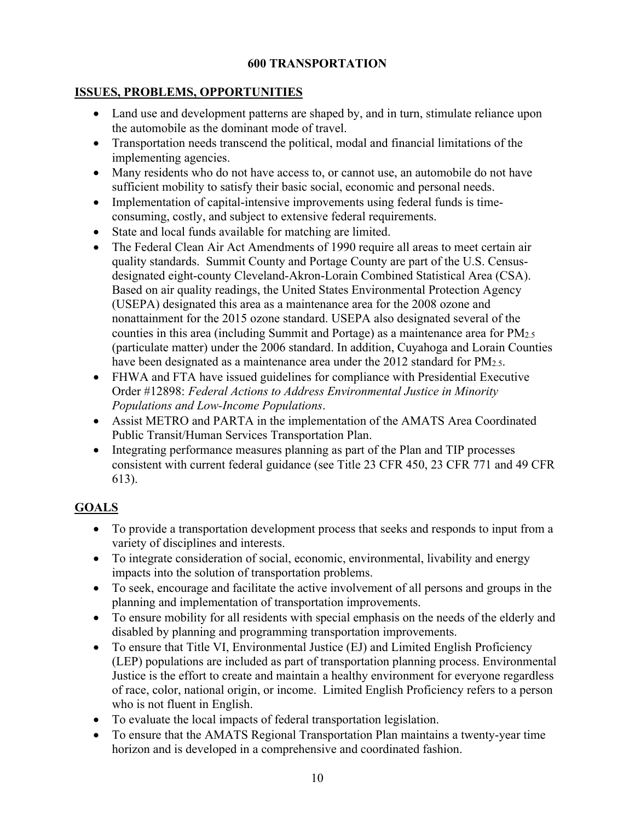#### **600 TRANSPORTATION**

#### **ISSUES, PROBLEMS, OPPORTUNITIES**

- Land use and development patterns are shaped by, and in turn, stimulate reliance upon the automobile as the dominant mode of travel.
- Transportation needs transcend the political, modal and financial limitations of the implementing agencies.
- Many residents who do not have access to, or cannot use, an automobile do not have sufficient mobility to satisfy their basic social, economic and personal needs.
- Implementation of capital-intensive improvements using federal funds is timeconsuming, costly, and subject to extensive federal requirements.
- State and local funds available for matching are limited.
- The Federal Clean Air Act Amendments of 1990 require all areas to meet certain air quality standards. Summit County and Portage County are part of the U.S. Censusdesignated eight-county Cleveland-Akron-Lorain Combined Statistical Area (CSA). Based on air quality readings, the United States Environmental Protection Agency (USEPA) designated this area as a maintenance area for the 2008 ozone and nonattainment for the 2015 ozone standard. USEPA also designated several of the counties in this area (including Summit and Portage) as a maintenance area for PM2.5 (particulate matter) under the 2006 standard. In addition, Cuyahoga and Lorain Counties have been designated as a maintenance area under the 2012 standard for PM<sub>2.5</sub>.
- FHWA and FTA have issued guidelines for compliance with Presidential Executive Order #12898: *Federal Actions to Address Environmental Justice in Minority Populations and Low-Income Populations*.
- Assist METRO and PARTA in the implementation of the AMATS Area Coordinated Public Transit/Human Services Transportation Plan.
- Integrating performance measures planning as part of the Plan and TIP processes consistent with current federal guidance (see Title 23 CFR 450, 23 CFR 771 and 49 CFR 613).

#### **GOALS**

- To provide a transportation development process that seeks and responds to input from a variety of disciplines and interests.
- To integrate consideration of social, economic, environmental, livability and energy impacts into the solution of transportation problems.
- To seek, encourage and facilitate the active involvement of all persons and groups in the planning and implementation of transportation improvements.
- To ensure mobility for all residents with special emphasis on the needs of the elderly and disabled by planning and programming transportation improvements.
- To ensure that Title VI, Environmental Justice (EJ) and Limited English Proficiency (LEP) populations are included as part of transportation planning process. Environmental Justice is the effort to create and maintain a healthy environment for everyone regardless of race, color, national origin, or income. Limited English Proficiency refers to a person who is not fluent in English.
- To evaluate the local impacts of federal transportation legislation.
- To ensure that the AMATS Regional Transportation Plan maintains a twenty-year time horizon and is developed in a comprehensive and coordinated fashion.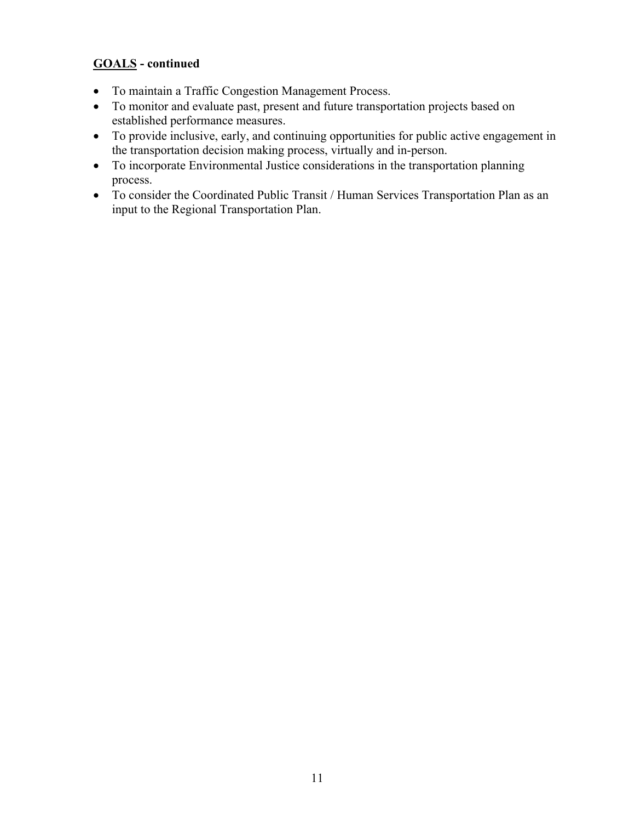#### **GOALS - continued**

- To maintain a Traffic Congestion Management Process.
- To monitor and evaluate past, present and future transportation projects based on established performance measures.
- To provide inclusive, early, and continuing opportunities for public active engagement in the transportation decision making process, virtually and in-person.
- To incorporate Environmental Justice considerations in the transportation planning process.
- To consider the Coordinated Public Transit / Human Services Transportation Plan as an input to the Regional Transportation Plan.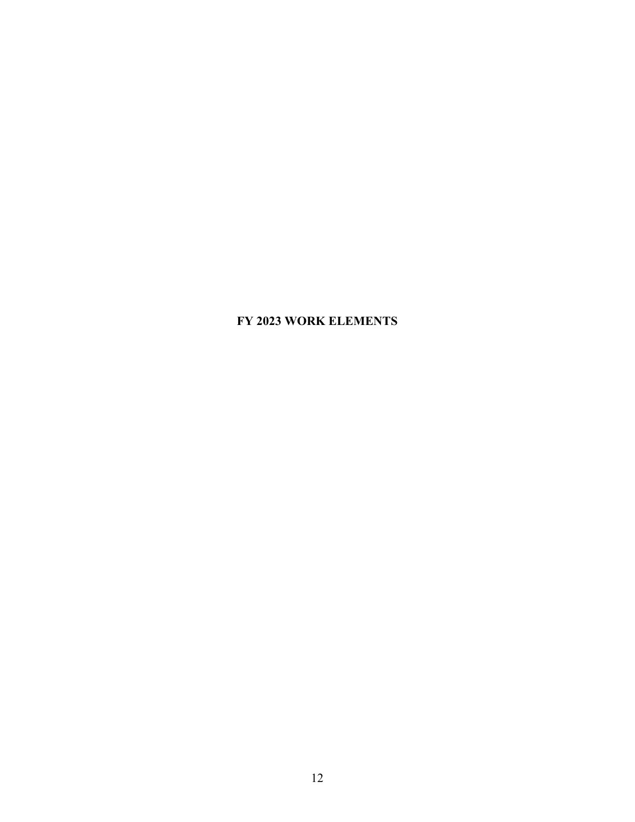#### **FY 2023 WORK ELEMENTS**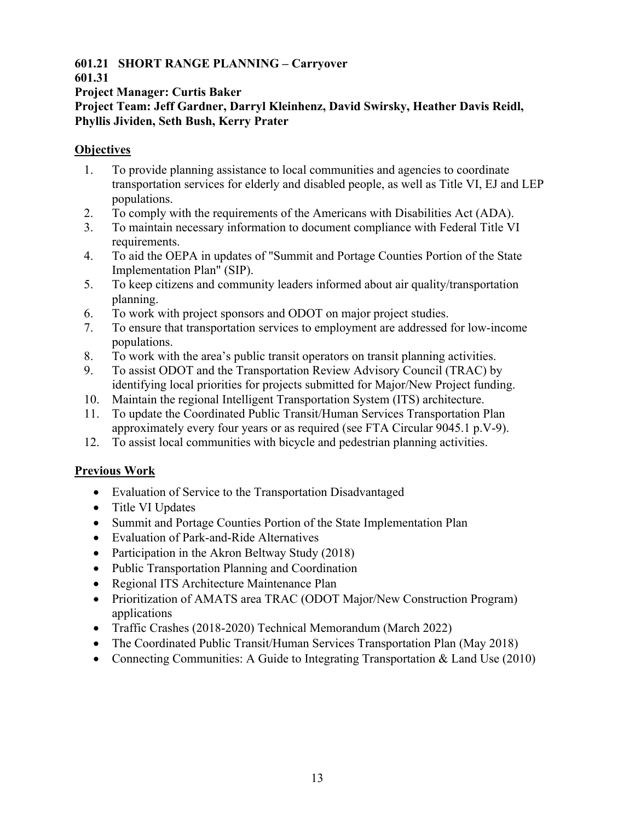#### **601.21 SHORT RANGE PLANNING – Carryover**

#### **601.31**

**Project Manager: Curtis Baker** 

**Project Team: Jeff Gardner, Darryl Kleinhenz, David Swirsky, Heather Davis Reidl, Phyllis Jividen, Seth Bush, Kerry Prater**

#### **Objectives**

- 1. To provide planning assistance to local communities and agencies to coordinate transportation services for elderly and disabled people, as well as Title VI, EJ and LEP populations.
- 2. To comply with the requirements of the Americans with Disabilities Act (ADA).
- 3. To maintain necessary information to document compliance with Federal Title VI requirements.
- 4. To aid the OEPA in updates of "Summit and Portage Counties Portion of the State Implementation Plan" (SIP).
- 5. To keep citizens and community leaders informed about air quality/transportation planning.
- 6. To work with project sponsors and ODOT on major project studies.
- 7. To ensure that transportation services to employment are addressed for low-income populations.
- 8. To work with the area's public transit operators on transit planning activities.
- 9. To assist ODOT and the Transportation Review Advisory Council (TRAC) by identifying local priorities for projects submitted for Major/New Project funding.
- 10. Maintain the regional Intelligent Transportation System (ITS) architecture.
- 11. To update the Coordinated Public Transit/Human Services Transportation Plan approximately every four years or as required (see FTA Circular 9045.1 p.V-9).
- 12. To assist local communities with bicycle and pedestrian planning activities.

## **Previous Work**

- Evaluation of Service to the Transportation Disadvantaged
- Title VI Updates
- Summit and Portage Counties Portion of the State Implementation Plan
- Evaluation of Park-and-Ride Alternatives
- Participation in the Akron Beltway Study (2018)
- Public Transportation Planning and Coordination
- Regional ITS Architecture Maintenance Plan
- Prioritization of AMATS area TRAC (ODOT Major/New Construction Program) applications
- Traffic Crashes (2018-2020) Technical Memorandum (March 2022)
- The Coordinated Public Transit/Human Services Transportation Plan (May 2018)
- Connecting Communities: A Guide to Integrating Transportation & Land Use (2010)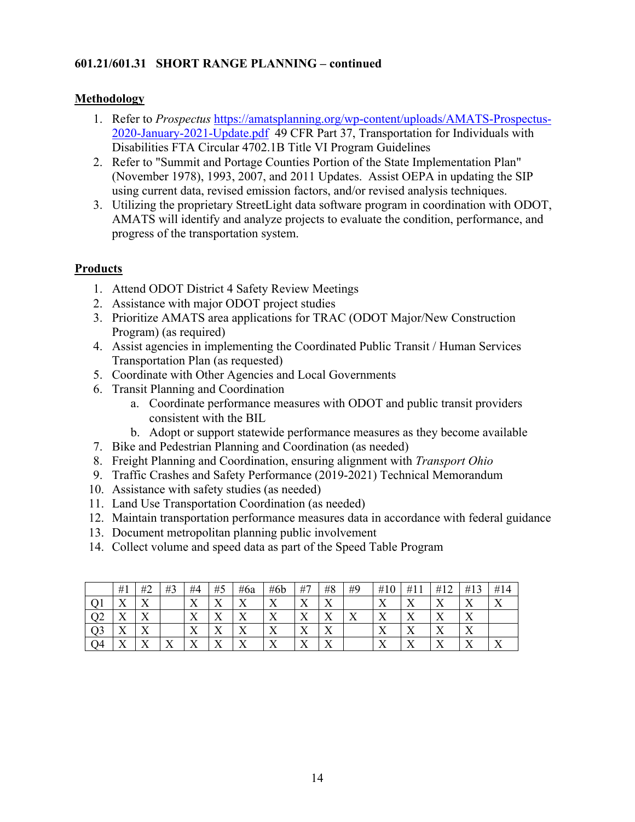#### **601.21/601.31 SHORT RANGE PLANNING – continued**

#### **Methodology**

- 1. Refer to *Prospectus* https://amatsplanning.org/wp-content/uploads/AMATS-Prospectus-2020-January-2021-Update.pdf 49 CFR Part 37, Transportation for Individuals with Disabilities FTA Circular 4702.1B Title VI Program Guidelines
- 2. Refer to "Summit and Portage Counties Portion of the State Implementation Plan" (November 1978), 1993, 2007, and 2011 Updates. Assist OEPA in updating the SIP using current data, revised emission factors, and/or revised analysis techniques.
- 3. Utilizing the proprietary StreetLight data software program in coordination with ODOT, AMATS will identify and analyze projects to evaluate the condition, performance, and progress of the transportation system.

- 1. Attend ODOT District 4 Safety Review Meetings
- 2. Assistance with major ODOT project studies
- 3. Prioritize AMATS area applications for TRAC (ODOT Major/New Construction Program) (as required)
- 4. Assist agencies in implementing the Coordinated Public Transit / Human Services Transportation Plan (as requested)
- 5. Coordinate with Other Agencies and Local Governments
- 6. Transit Planning and Coordination
	- a. Coordinate performance measures with ODOT and public transit providers consistent with the BIL
	- b. Adopt or support statewide performance measures as they become available
- 7. Bike and Pedestrian Planning and Coordination (as needed)
- 8. Freight Planning and Coordination, ensuring alignment with *Transport Ohio*
- 9. Traffic Crashes and Safety Performance (2019-2021) Technical Memorandum
- 10. Assistance with safety studies (as needed)
- 11. Land Use Transportation Coordination (as needed)
- 12. Maintain transportation performance measures data in accordance with federal guidance
- 13. Document metropolitan planning public involvement
- 14. Collect volume and speed data as part of the Speed Table Program

|    | #1                        | #2                           | #3                | #4                        | #5                            | #6a                | #6b                      | #7                            | #8                        | #9                | #10      | #1                        | #1                 | #13                       | #14 |
|----|---------------------------|------------------------------|-------------------|---------------------------|-------------------------------|--------------------|--------------------------|-------------------------------|---------------------------|-------------------|----------|---------------------------|--------------------|---------------------------|-----|
|    | $\mathbf{x}$<br>л         | $\overline{\mathbf{x}}$<br>∡ |                   | $\mathbf{v}$<br>$\Lambda$ | v<br>∡⊾                       | $\mathbf{v}$       | v<br>△                   | $\overline{\mathbf{x}}$<br>∡⊾ | v<br>∡                    |                   | ٦z<br>∡⊾ | v<br>△                    | v<br>∡⊾            | 77<br>$\Lambda$           |     |
| ◡▵ | $\mathbf{v}$<br>$\Lambda$ | $\overline{\mathbf{x}}$<br>Λ |                   | $\mathbf{v}$<br>$\Lambda$ | $\overline{\mathbf{x}}$<br>∡⊾ | ◥<br>∡⊾            | v<br>△                   | $\overline{\mathbf{x}}$<br>∡⊾ | $\mathbf{x}$<br>$\Lambda$ | $\mathbf{v}$<br>Λ | ◥◸<br>∡⊾ | $\mathbf{v}$<br>$\Lambda$ | v<br>∡⊾            | $\mathbf{v}$<br>$\Lambda$ |     |
| Q3 | $\mathbf{v}$<br>$\Lambda$ | v<br>Λ                       |                   | $\mathbf{v}$<br>∡         | ▾▾<br>$\Lambda$               | T7<br>∡⊾           | $\mathbf v$<br>$\Lambda$ | ۳z<br>∡                       | ٦z<br>$\Lambda$           |                   | ∡⊾       | v<br>$\Lambda$            | v<br>∡⊾            | 77<br>$\Lambda$           |     |
| Q4 | $\mathbf{v}$<br>$\Lambda$ | v<br>∡                       | $\mathbf{v}$<br>∡ | $\mathbf{v}$<br>$\Lambda$ | $\mathbf{v}$<br>$\lambda$     | $\mathbf{x}$<br>∡⊾ | $\mathbf{v}$<br>△        | - -<br>∡⊾                     | $\mathbf{x}$<br>$\Lambda$ |                   | ٦z       | v<br>$\Lambda$            | $\mathbf{v}$<br>∡⊾ | v<br>$\Lambda$            |     |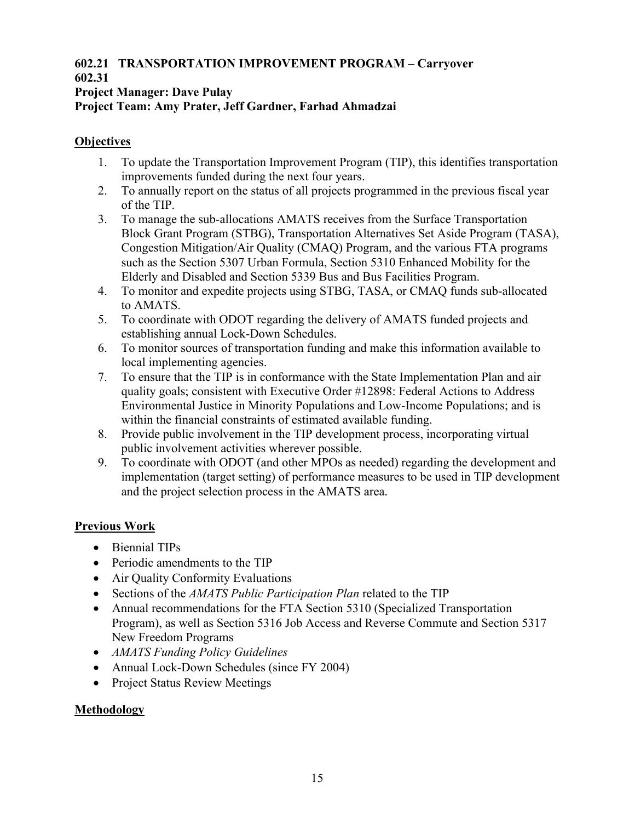#### **602.21 TRANSPORTATION IMPROVEMENT PROGRAM – Carryover 602.31**

#### **Project Manager: Dave Pulay**

#### **Project Team: Amy Prater, Jeff Gardner, Farhad Ahmadzai**

#### **Objectives**

- 1. To update the Transportation Improvement Program (TIP), this identifies transportation improvements funded during the next four years.
- 2. To annually report on the status of all projects programmed in the previous fiscal year of the TIP.
- 3. To manage the sub-allocations AMATS receives from the Surface Transportation Block Grant Program (STBG), Transportation Alternatives Set Aside Program (TASA), Congestion Mitigation/Air Quality (CMAQ) Program, and the various FTA programs such as the Section 5307 Urban Formula, Section 5310 Enhanced Mobility for the Elderly and Disabled and Section 5339 Bus and Bus Facilities Program.
- 4. To monitor and expedite projects using STBG, TASA, or CMAQ funds sub-allocated to AMATS.
- 5. To coordinate with ODOT regarding the delivery of AMATS funded projects and establishing annual Lock-Down Schedules.
- 6. To monitor sources of transportation funding and make this information available to local implementing agencies.
- 7. To ensure that the TIP is in conformance with the State Implementation Plan and air quality goals; consistent with Executive Order #12898: Federal Actions to Address Environmental Justice in Minority Populations and Low-Income Populations; and is within the financial constraints of estimated available funding.
- 8. Provide public involvement in the TIP development process, incorporating virtual public involvement activities wherever possible.
- 9. To coordinate with ODOT (and other MPOs as needed) regarding the development and implementation (target setting) of performance measures to be used in TIP development and the project selection process in the AMATS area.

#### **Previous Work**

- Biennial TIPs
- Periodic amendments to the TIP
- Air Quality Conformity Evaluations
- Sections of the *AMATS Public Participation Plan* related to the TIP
- Annual recommendations for the FTA Section 5310 (Specialized Transportation Program), as well as Section 5316 Job Access and Reverse Commute and Section 5317 New Freedom Programs
- *AMATS Funding Policy Guidelines*
- Annual Lock-Down Schedules (since FY 2004)
- Project Status Review Meetings

#### **Methodology**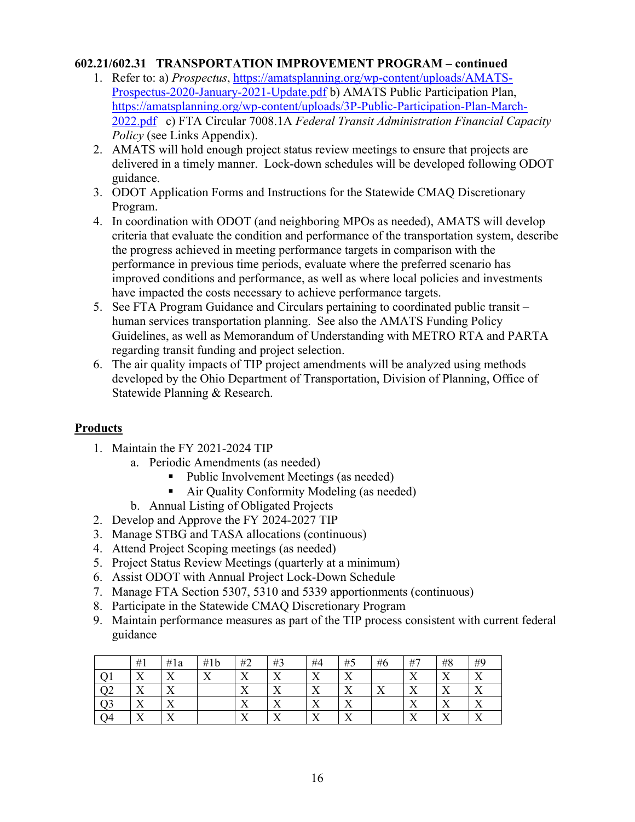#### **602.21/602.31 TRANSPORTATION IMPROVEMENT PROGRAM – continued**

- 1. Refer to: a) *Prospectus*, https://amatsplanning.org/wp-content/uploads/AMATS-Prospectus-2020-January-2021-Update.pdf b) AMATS Public Participation Plan, https://amatsplanning.org/wp-content/uploads/3P-Public-Participation-Plan-March-2022.pdf c) FTA Circular 7008.1A *Federal Transit Administration Financial Capacity Policy* (see Links Appendix).
- 2. AMATS will hold enough project status review meetings to ensure that projects are delivered in a timely manner. Lock-down schedules will be developed following ODOT guidance.
- 3. ODOT Application Forms and Instructions for the Statewide CMAQ Discretionary Program.
- 4. In coordination with ODOT (and neighboring MPOs as needed), AMATS will develop criteria that evaluate the condition and performance of the transportation system, describe the progress achieved in meeting performance targets in comparison with the performance in previous time periods, evaluate where the preferred scenario has improved conditions and performance, as well as where local policies and investments have impacted the costs necessary to achieve performance targets.
- 5. See FTA Program Guidance and Circulars pertaining to coordinated public transit human services transportation planning. See also the AMATS Funding Policy Guidelines, as well as Memorandum of Understanding with METRO RTA and PARTA regarding transit funding and project selection.
- 6. The air quality impacts of TIP project amendments will be analyzed using methods developed by the Ohio Department of Transportation, Division of Planning, Office of Statewide Planning & Research.

- 1. Maintain the FY 2021-2024 TIP
	- a. Periodic Amendments (as needed)
		- Public Involvement Meetings (as needed)
		- Air Quality Conformity Modeling (as needed)
	- b. Annual Listing of Obligated Projects
- 2. Develop and Approve the FY 2024-2027 TIP
- 3. Manage STBG and TASA allocations (continuous)
- 4. Attend Project Scoping meetings (as needed)
- 5. Project Status Review Meetings (quarterly at a minimum)
- 6. Assist ODOT with Annual Project Lock-Down Schedule
- 7. Manage FTA Section 5307, 5310 and 5339 apportionments (continuous)
- 8. Participate in the Statewide CMAQ Discretionary Program
- 9. Maintain performance measures as part of the TIP process consistent with current federal guidance

|     | #1                | #1a                                 | #1b                | #2                      | #3                      | #4                  | #5                           | #6                            | #7                            | #8                           | #9                      |
|-----|-------------------|-------------------------------------|--------------------|-------------------------|-------------------------|---------------------|------------------------------|-------------------------------|-------------------------------|------------------------------|-------------------------|
|     | $\mathbf{v}$      | $\overline{\mathbf{x}}$<br>∡        | $\mathbf{v}$<br>∡⊾ | $\overline{\mathbf{x}}$ | $\overline{\mathbf{x}}$ | $\mathbf{v}$<br>ZX. | $\overline{\mathbf{x}}$      |                               | T Z<br>∡⊾                     | $\mathbf{x}$<br>$\Lambda$    | $\overline{\mathbf{x}}$ |
|     | $\mathbf{v}$<br>∡ | $\mathbf{v}$<br>∡                   |                    | $\overline{\mathbf{x}}$ | $\mathbf{v}$<br>∡⊾      | $\mathbf{x}$<br>∡⊾  | $\overline{\mathbf{x}}$<br>∡ | $\overline{\mathbf{x}}$<br>∡⊾ | $\overline{\mathbf{x}}$<br>∡⊾ | $\mathbf{x}$<br>∡            | $\mathbf{v}$<br>∡       |
| ر ر | ٦z<br>△           | $\overline{\mathbf{x}}$<br>$\Delta$ |                    | <b>x</b> z              | $\mathbf{v}$<br>∡       | ٦z<br>∡⊾            | $\mathbf{v}$<br>∡⊾           |                               | - -<br>∡⊾                     | $\overline{\mathbf{x}}$<br>∡ | $\mathbf{v}$<br>∡       |
| 74  | $\mathbf{v}$      | $\mathbf{v}$                        |                    | $\mathbf{v}$            | $\mathbf{v}$            | $\mathbf{v}$        | $\mathbf{v}$                 |                               | $\mathbf{v}$                  | $\mathbf{v}$<br>$\lambda$    | $\mathbf{v}$            |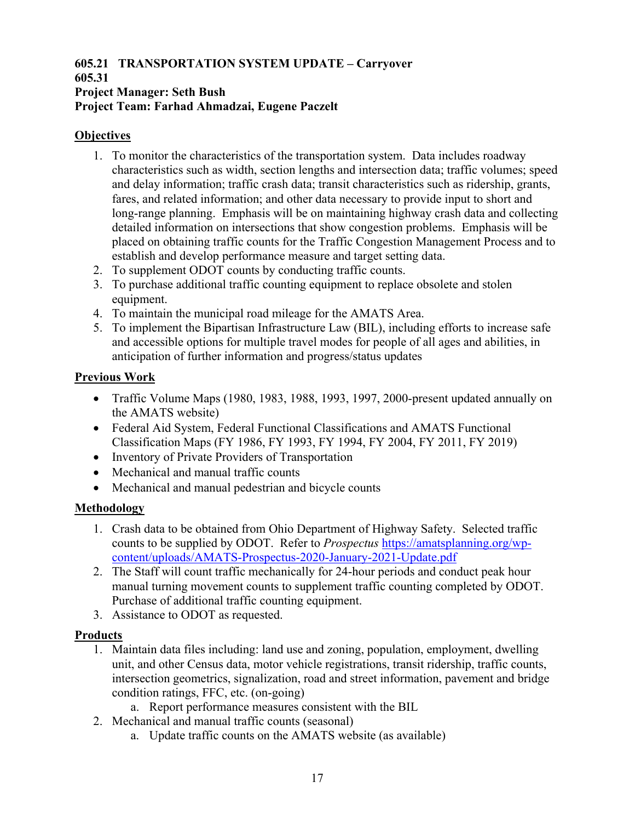## **605.21 TRANSPORTATION SYSTEM UPDATE – Carryover**

#### **605.31 Project Manager: Seth Bush Project Team: Farhad Ahmadzai, Eugene Paczelt**

#### **Objectives**

- 1. To monitor the characteristics of the transportation system. Data includes roadway characteristics such as width, section lengths and intersection data; traffic volumes; speed and delay information; traffic crash data; transit characteristics such as ridership, grants, fares, and related information; and other data necessary to provide input to short and long-range planning. Emphasis will be on maintaining highway crash data and collecting detailed information on intersections that show congestion problems. Emphasis will be placed on obtaining traffic counts for the Traffic Congestion Management Process and to establish and develop performance measure and target setting data.
- 2. To supplement ODOT counts by conducting traffic counts.
- 3. To purchase additional traffic counting equipment to replace obsolete and stolen equipment.
- 4. To maintain the municipal road mileage for the AMATS Area.
- 5. To implement the Bipartisan Infrastructure Law (BIL), including efforts to increase safe and accessible options for multiple travel modes for people of all ages and abilities, in anticipation of further information and progress/status updates

#### **Previous Work**

- Traffic Volume Maps (1980, 1983, 1988, 1993, 1997, 2000-present updated annually on the AMATS website)
- Federal Aid System, Federal Functional Classifications and AMATS Functional Classification Maps (FY 1986, FY 1993, FY 1994, FY 2004, FY 2011, FY 2019)
- Inventory of Private Providers of Transportation
- Mechanical and manual traffic counts
- Mechanical and manual pedestrian and bicycle counts

#### **Methodology**

- 1. Crash data to be obtained from Ohio Department of Highway Safety. Selected traffic counts to be supplied by ODOT. Refer to *Prospectus* https://amatsplanning.org/wpcontent/uploads/AMATS-Prospectus-2020-January-2021-Update.pdf
- 2. The Staff will count traffic mechanically for 24-hour periods and conduct peak hour manual turning movement counts to supplement traffic counting completed by ODOT. Purchase of additional traffic counting equipment.
- 3. Assistance to ODOT as requested.

- 1. Maintain data files including: land use and zoning, population, employment, dwelling unit, and other Census data, motor vehicle registrations, transit ridership, traffic counts, intersection geometrics, signalization, road and street information, pavement and bridge condition ratings, FFC, etc. (on-going)
	- a. Report performance measures consistent with the BIL
- 2. Mechanical and manual traffic counts (seasonal)
	- a. Update traffic counts on the AMATS website (as available)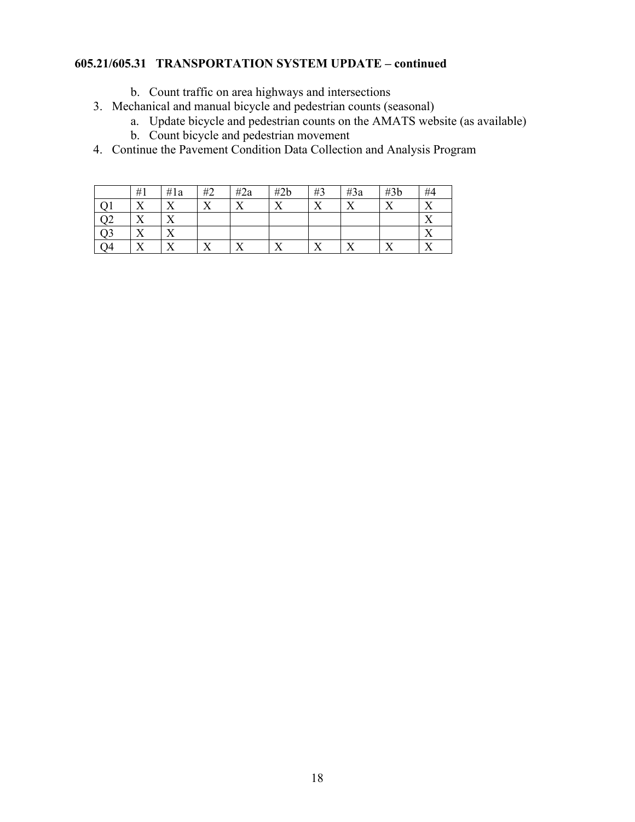#### **605.21/605.31 TRANSPORTATION SYSTEM UPDATE – continued**

- b. Count traffic on area highways and intersections
- 3. Mechanical and manual bicycle and pedestrian counts (seasonal)
	- a. Update bicycle and pedestrian counts on the AMATS website (as available)
	- b. Count bicycle and pedestrian movement
- 4. Continue the Pavement Condition Data Collection and Analysis Program

|     | #1                | #1a       | #2                            | #2a     | #2b | #3                | #3a | #3b | #4        |
|-----|-------------------|-----------|-------------------------------|---------|-----|-------------------|-----|-----|-----------|
|     | ۳z<br>∡           | ∡⊾        | v                             | ٦z<br>∡ | ٦z  | $\mathbf{v}$<br>∡ | ٦z  |     | ٦z<br>∡⊾  |
| ∕ ∠ | л                 | ∡         |                               |         |     |                   |     |     | ۳T<br>∡⊾  |
| Q3  | ۳z<br>л           | △         |                               |         |     |                   |     |     | v 7<br>∡⊾ |
| O4  | $\mathbf{v}$<br>∡ | v 7<br>∡⊾ | $\overline{\mathbf{x}}$<br>∡⊾ | T.      | ۳z  | <b>x</b> z<br>∡⊾  |     | v v | v y<br>∡⊾ |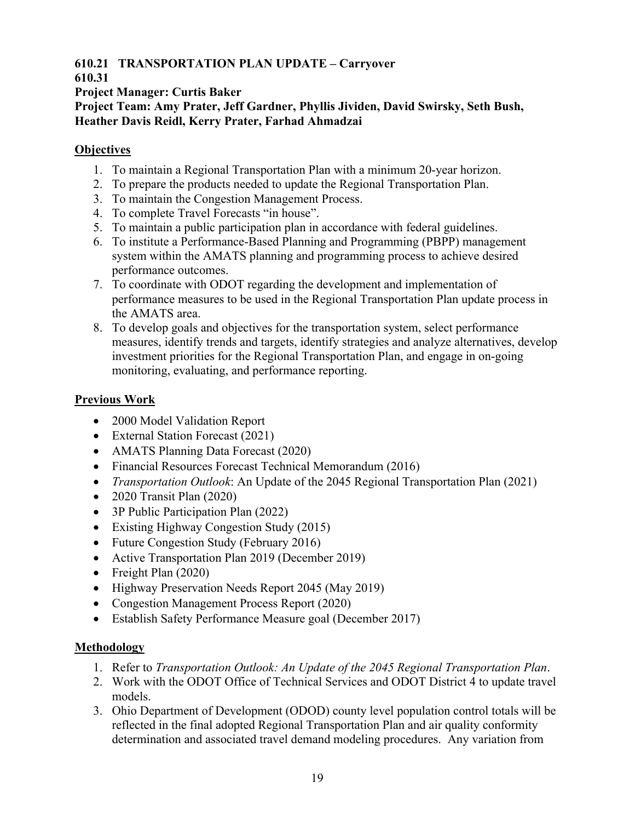#### **610.21 TRANSPORTATION PLAN UPDATE – Carryover**

#### **610.31**

**Project Manager: Curtis Baker** 

**Project Team: Amy Prater, Jeff Gardner, Phyllis Jividen, David Swirsky, Seth Bush, Heather Davis Reidl, Kerry Prater, Farhad Ahmadzai** 

#### **Objectives**

- 1. To maintain a Regional Transportation Plan with a minimum 20-year horizon.
- 2. To prepare the products needed to update the Regional Transportation Plan.
- 3. To maintain the Congestion Management Process.
- 4. To complete Travel Forecasts "in house".
- 5. To maintain a public participation plan in accordance with federal guidelines.
- 6. To institute a Performance-Based Planning and Programming (PBPP) management system within the AMATS planning and programming process to achieve desired performance outcomes.
- 7. To coordinate with ODOT regarding the development and implementation of performance measures to be used in the Regional Transportation Plan update process in the AMATS area.
- 8. To develop goals and objectives for the transportation system, select performance measures, identify trends and targets, identify strategies and analyze alternatives, develop investment priorities for the Regional Transportation Plan, and engage in on-going monitoring, evaluating, and performance reporting.

#### **Previous Work**

- 2000 Model Validation Report
- External Station Forecast (2021)
- AMATS Planning Data Forecast (2020)
- Financial Resources Forecast Technical Memorandum (2016)
- *Transportation Outlook*: An Update of the 2045 Regional Transportation Plan (2021)
- 2020 Transit Plan (2020)
- 3P Public Participation Plan (2022)
- Existing Highway Congestion Study (2015)
- Future Congestion Study (February 2016)
- Active Transportation Plan 2019 (December 2019)
- Freight Plan (2020)
- Highway Preservation Needs Report 2045 (May 2019)
- Congestion Management Process Report (2020)
- Establish Safety Performance Measure goal (December 2017)

#### **Methodology**

- 1. Refer to *Transportation Outlook: An Update of the 2045 Regional Transportation Plan*.
- 2. Work with the ODOT Office of Technical Services and ODOT District 4 to update travel models.
- 3. Ohio Department of Development (ODOD) county level population control totals will be reflected in the final adopted Regional Transportation Plan and air quality conformity determination and associated travel demand modeling procedures. Any variation from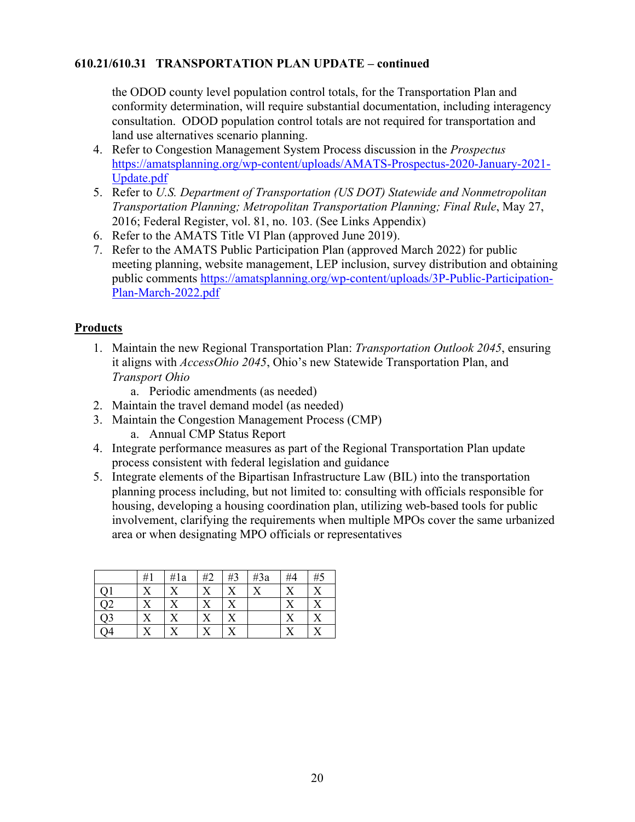#### **610.21/610.31 TRANSPORTATION PLAN UPDATE – continued**

the ODOD county level population control totals, for the Transportation Plan and conformity determination, will require substantial documentation, including interagency consultation. ODOD population control totals are not required for transportation and land use alternatives scenario planning.

- 4. Refer to Congestion Management System Process discussion in the *Prospectus* https://amatsplanning.org/wp-content/uploads/AMATS-Prospectus-2020-January-2021- Update.pdf
- 5. Refer to *U.S. Department of Transportation (US DOT) Statewide and Nonmetropolitan Transportation Planning; Metropolitan Transportation Planning; Final Rule*, May 27, 2016; Federal Register, vol. 81, no. 103. (See Links Appendix)
- 6. Refer to the AMATS Title VI Plan (approved June 2019).
- 7. Refer to the AMATS Public Participation Plan (approved March 2022) for public meeting planning, website management, LEP inclusion, survey distribution and obtaining public comments https://amatsplanning.org/wp-content/uploads/3P-Public-Participation-Plan-March-2022.pdf

#### **Products**

1. Maintain the new Regional Transportation Plan: *Transportation Outlook 2045*, ensuring it aligns with *AccessOhio 2045*, Ohio's new Statewide Transportation Plan, and *Transport Ohio*

a. Periodic amendments (as needed)

- 2. Maintain the travel demand model (as needed)
- 3. Maintain the Congestion Management Process (CMP)
	- a. Annual CMP Status Report
- 4. Integrate performance measures as part of the Regional Transportation Plan update process consistent with federal legislation and guidance
- 5. Integrate elements of the Bipartisan Infrastructure Law (BIL) into the transportation planning process including, but not limited to: consulting with officials responsible for housing, developing a housing coordination plan, utilizing web-based tools for public involvement, clarifying the requirements when multiple MPOs cover the same urbanized area or when designating MPO officials or representatives

|    | #1 | #1a | #2 | #3 | #3a | #4 | #5 |
|----|----|-----|----|----|-----|----|----|
|    |    |     |    |    | XZ  | v  |    |
|    |    |     |    | X  |     |    |    |
| Q3 |    |     |    | X  |     | v. |    |
|    |    |     |    |    |     |    |    |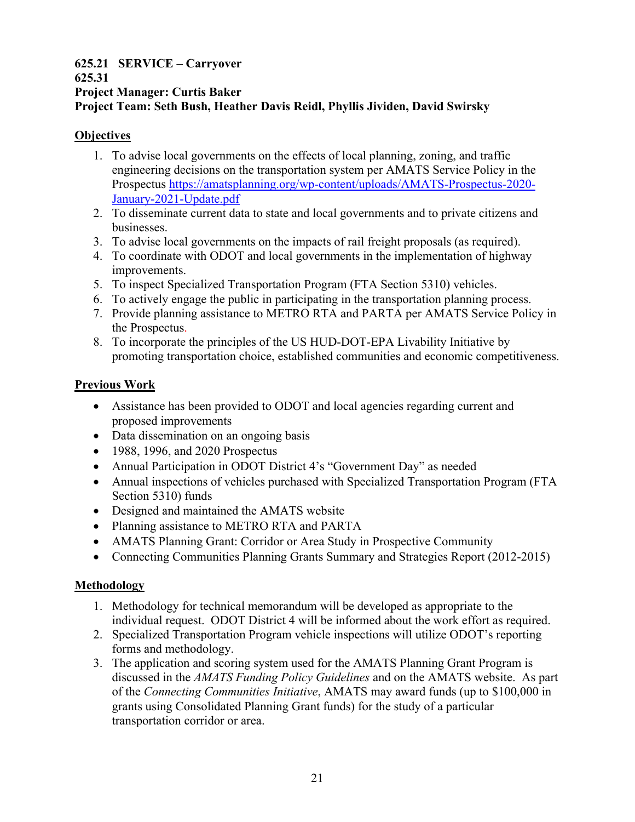#### **625.21 SERVICE – Carryover 625.31 Project Manager: Curtis Baker Project Team: Seth Bush, Heather Davis Reidl, Phyllis Jividen, David Swirsky**

#### **Objectives**

- 1. To advise local governments on the effects of local planning, zoning, and traffic engineering decisions on the transportation system per AMATS Service Policy in the Prospectus https://amatsplanning.org/wp-content/uploads/AMATS-Prospectus-2020- January-2021-Update.pdf
- 2. To disseminate current data to state and local governments and to private citizens and businesses.
- 3. To advise local governments on the impacts of rail freight proposals (as required).
- 4. To coordinate with ODOT and local governments in the implementation of highway improvements.
- 5. To inspect Specialized Transportation Program (FTA Section 5310) vehicles.
- 6. To actively engage the public in participating in the transportation planning process.
- 7. Provide planning assistance to METRO RTA and PARTA per AMATS Service Policy in the Prospectus.
- 8. To incorporate the principles of the US HUD-DOT-EPA Livability Initiative by promoting transportation choice, established communities and economic competitiveness.

#### **Previous Work**

- Assistance has been provided to ODOT and local agencies regarding current and proposed improvements
- Data dissemination on an ongoing basis
- 1988, 1996, and 2020 Prospectus
- Annual Participation in ODOT District 4's "Government Day" as needed
- Annual inspections of vehicles purchased with Specialized Transportation Program (FTA Section 5310) funds
- Designed and maintained the AMATS website
- Planning assistance to METRO RTA and PARTA
- AMATS Planning Grant: Corridor or Area Study in Prospective Community
- Connecting Communities Planning Grants Summary and Strategies Report (2012-2015)

#### **Methodology**

- 1. Methodology for technical memorandum will be developed as appropriate to the individual request. ODOT District 4 will be informed about the work effort as required.
- 2. Specialized Transportation Program vehicle inspections will utilize ODOT's reporting forms and methodology.
- 3. The application and scoring system used for the AMATS Planning Grant Program is discussed in the *AMATS Funding Policy Guidelines* and on the AMATS website. As part of the *Connecting Communities Initiative*, AMATS may award funds (up to \$100,000 in grants using Consolidated Planning Grant funds) for the study of a particular transportation corridor or area.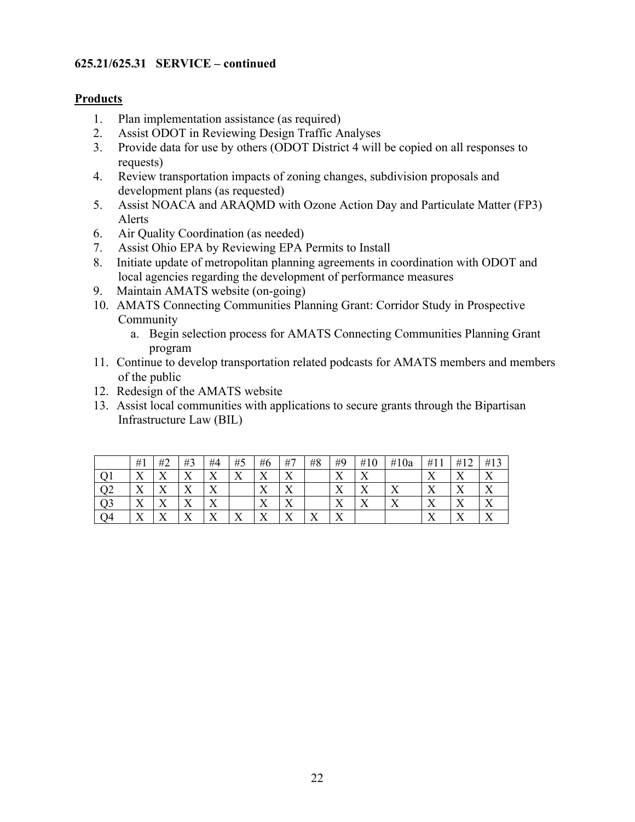#### **625.21/625.31 SERVICE – continued**

- 1. Plan implementation assistance (as required)
- 2. Assist ODOT in Reviewing Design Traffic Analyses
- 3. Provide data for use by others (ODOT District 4 will be copied on all responses to requests)
- 4. Review transportation impacts of zoning changes, subdivision proposals and development plans (as requested)
- 5. Assist NOACA and ARAQMD with Ozone Action Day and Particulate Matter (FP3) Alerts
- 6. Air Quality Coordination (as needed)
- 7. Assist Ohio EPA by Reviewing EPA Permits to Install
- 8. Initiate update of metropolitan planning agreements in coordination with ODOT and local agencies regarding the development of performance measures
- 9. Maintain AMATS website (on-going)
- 10. AMATS Connecting Communities Planning Grant: Corridor Study in Prospective Community
	- a. Begin selection process for AMATS Connecting Communities Planning Grant program
- 11. Continue to develop transportation related podcasts for AMATS members and members of the public
- 12. Redesign of the AMATS website
- 13. Assist local communities with applications to secure grants through the Bipartisan Infrastructure Law (BIL)

|     | #1                        | #2                            | #3                 | #4                            | #5                 | #6                        | #7                 | #8  | #9                           | #10               | #10a              | #11               | #12             | #13          |
|-----|---------------------------|-------------------------------|--------------------|-------------------------------|--------------------|---------------------------|--------------------|-----|------------------------------|-------------------|-------------------|-------------------|-----------------|--------------|
|     | v<br>$\Lambda$            | v<br>∡⊾                       | $\mathbf{v}$<br>∡⊾ | $\mathbf{v}$<br>∡⊾            | $\mathbf{x}$<br>∡⊾ | $\mathbf{v}$<br>∡⊾        | - -<br>∡⊾          |     | v<br>∡                       | $\mathbf{x}$<br>∡ |                   | ∡                 | 77              |              |
| ے ، | $\mathbf{v}$<br>$\Lambda$ | ٦z<br>∡⊾                      | $\mathbf{v}$<br>∡⊾ | $\overline{\mathbf{x}}$<br>∡⊾ |                    | $\mathbf{v}$<br>Λ         | $\mathbf{v}$<br>∡⊾ |     | v<br>$\Lambda$               | $\mathbf{x}$<br>△ | ٦z<br>∡           | $\mathbf{v}$<br>△ | 77              |              |
| Э3  | $\mathbf{x}$<br>$\Lambda$ | ٦z<br>4X                      | $\mathbf{v}$<br>∡⊾ | ۳T<br>∡⊾                      |                    | $\mathbf{x}$<br>$\Lambda$ | $\mathbf{v}$<br>∡⊾ |     | ٦z<br>∡                      | $\mathbf{v}$<br>Λ | $\mathbf{x}$<br>Λ | $\mathbf{v}$<br>Λ | ∡⊾              |              |
| Э4  | $\mathbf{v}$<br>△         | $\overline{\mathbf{x}}$<br>∡⊾ | $\mathbf{v}$<br>◢  | $\overline{\mathbf{x}}$<br>∡⊾ | v<br>$\Lambda$     | $\mathbf{x}$<br>∡         | $\mathbf{v}$<br>∡⊾ | - - | $\overline{\mathbf{x}}$<br>∡ |                   |                   | $\mathbf{v}$<br>△ | <b>TT</b><br>∡⊾ | $\mathbf{v}$ |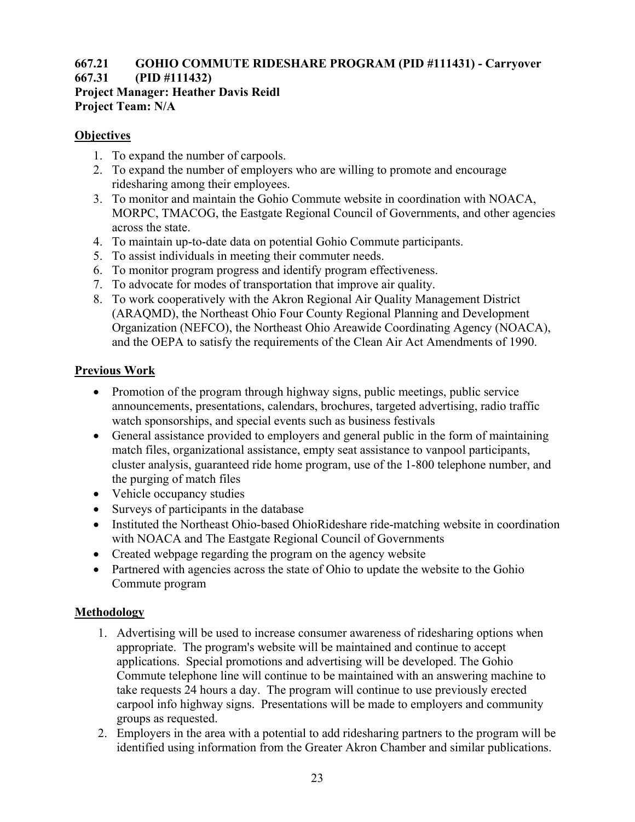## **667.21 GOHIO COMMUTE RIDESHARE PROGRAM (PID #111431) - Carryover**

## **667.31 (PID #111432)**

**Project Manager: Heather Davis Reidl Project Team: N/A** 

#### **Objectives**

- 1. To expand the number of carpools.
- 2. To expand the number of employers who are willing to promote and encourage ridesharing among their employees.
- 3. To monitor and maintain the Gohio Commute website in coordination with NOACA, MORPC, TMACOG, the Eastgate Regional Council of Governments, and other agencies across the state.
- 4. To maintain up-to-date data on potential Gohio Commute participants.
- 5. To assist individuals in meeting their commuter needs.
- 6. To monitor program progress and identify program effectiveness.
- 7. To advocate for modes of transportation that improve air quality.
- 8. To work cooperatively with the Akron Regional Air Quality Management District (ARAQMD), the Northeast Ohio Four County Regional Planning and Development Organization (NEFCO), the Northeast Ohio Areawide Coordinating Agency (NOACA), and the OEPA to satisfy the requirements of the Clean Air Act Amendments of 1990.

#### **Previous Work**

- Promotion of the program through highway signs, public meetings, public service announcements, presentations, calendars, brochures, targeted advertising, radio traffic watch sponsorships, and special events such as business festivals
- General assistance provided to employers and general public in the form of maintaining match files, organizational assistance, empty seat assistance to vanpool participants, cluster analysis, guaranteed ride home program, use of the 1-800 telephone number, and the purging of match files
- Vehicle occupancy studies
- Surveys of participants in the database
- Instituted the Northeast Ohio-based OhioRideshare ride-matching website in coordination with NOACA and The Eastgate Regional Council of Governments
- Created webpage regarding the program on the agency website
- Partnered with agencies across the state of Ohio to update the website to the Gohio Commute program

#### **Methodology**

- 1. Advertising will be used to increase consumer awareness of ridesharing options when appropriate. The program's website will be maintained and continue to accept applications. Special promotions and advertising will be developed. The Gohio Commute telephone line will continue to be maintained with an answering machine to take requests 24 hours a day. The program will continue to use previously erected carpool info highway signs. Presentations will be made to employers and community groups as requested.
- 2. Employers in the area with a potential to add ridesharing partners to the program will be identified using information from the Greater Akron Chamber and similar publications.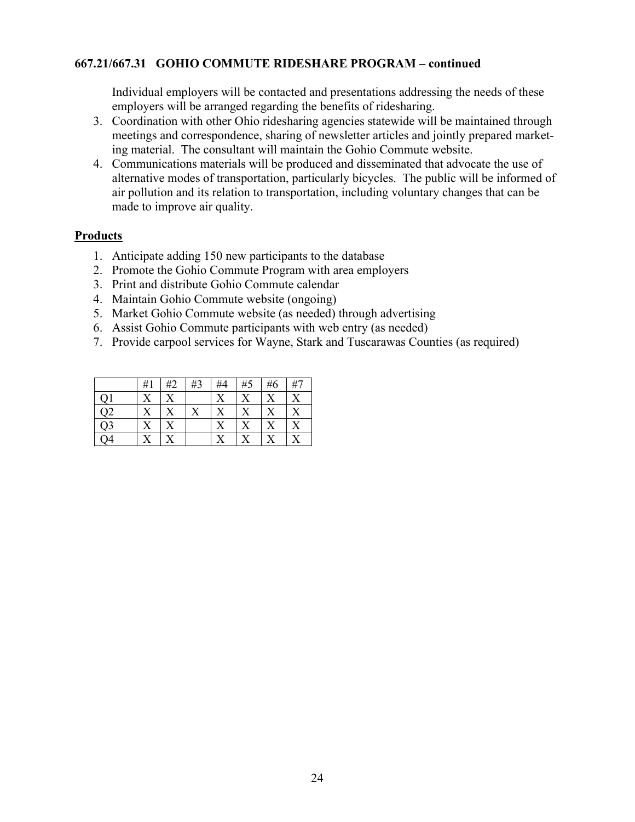#### **667.21/667.31 GOHIO COMMUTE RIDESHARE PROGRAM – continued**

Individual employers will be contacted and presentations addressing the needs of these employers will be arranged regarding the benefits of ridesharing.

- 3. Coordination with other Ohio ridesharing agencies statewide will be maintained through meetings and correspondence, sharing of newsletter articles and jointly prepared marketing material. The consultant will maintain the Gohio Commute website.
- 4. Communications materials will be produced and disseminated that advocate the use of alternative modes of transportation, particularly bicycles. The public will be informed of air pollution and its relation to transportation, including voluntary changes that can be made to improve air quality.

- 1. Anticipate adding 150 new participants to the database
- 2. Promote the Gohio Commute Program with area employers
- 3. Print and distribute Gohio Commute calendar
- 4. Maintain Gohio Commute website (ongoing)
- 5. Market Gohio Commute website (as needed) through advertising
- 6. Assist Gohio Commute participants with web entry (as needed)
- 7. Provide carpool services for Wayne, Stark and Tuscarawas Counties (as required)

|                | #1 | #2        | #3 | #4 | #5                    | #6                | #7                    |
|----------------|----|-----------|----|----|-----------------------|-------------------|-----------------------|
|                |    | X         |    |    | $\rm\overline{X}$     | $\rm\overline{X}$ | $\rm\overline{X}$     |
| Q2             | X  | X         | X  | X  | $\overline{\text{X}}$ | $\rm\overline{X}$ | X                     |
| $\overline{Q}$ |    | X         |    |    | X                     |                   | $\overline{\text{X}}$ |
| Q4             |    | $\bar{X}$ |    |    | X                     |                   | X                     |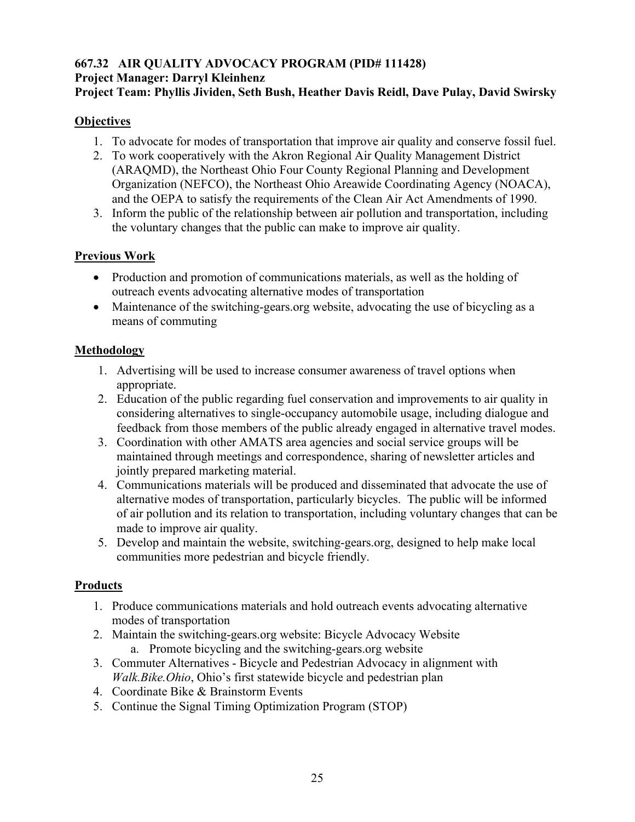#### **667.32 AIR QUALITY ADVOCACY PROGRAM (PID# 111428) Project Manager: Darryl Kleinhenz Project Team: Phyllis Jividen, Seth Bush, Heather Davis Reidl, Dave Pulay, David Swirsky**

#### **Objectives**

- 1. To advocate for modes of transportation that improve air quality and conserve fossil fuel.
- 2. To work cooperatively with the Akron Regional Air Quality Management District (ARAQMD), the Northeast Ohio Four County Regional Planning and Development Organization (NEFCO), the Northeast Ohio Areawide Coordinating Agency (NOACA), and the OEPA to satisfy the requirements of the Clean Air Act Amendments of 1990.
- 3. Inform the public of the relationship between air pollution and transportation, including the voluntary changes that the public can make to improve air quality.

#### **Previous Work**

- Production and promotion of communications materials, as well as the holding of outreach events advocating alternative modes of transportation
- Maintenance of the switching-gears.org website, advocating the use of bicycling as a means of commuting

#### **Methodology**

- 1. Advertising will be used to increase consumer awareness of travel options when appropriate.
- 2. Education of the public regarding fuel conservation and improvements to air quality in considering alternatives to single-occupancy automobile usage, including dialogue and feedback from those members of the public already engaged in alternative travel modes.
- 3. Coordination with other AMATS area agencies and social service groups will be maintained through meetings and correspondence, sharing of newsletter articles and jointly prepared marketing material.
- 4. Communications materials will be produced and disseminated that advocate the use of alternative modes of transportation, particularly bicycles. The public will be informed of air pollution and its relation to transportation, including voluntary changes that can be made to improve air quality.
- 5. Develop and maintain the website, switching-gears.org, designed to help make local communities more pedestrian and bicycle friendly.

- 1. Produce communications materials and hold outreach events advocating alternative modes of transportation
- 2. Maintain the switching-gears.org website: Bicycle Advocacy Website a. Promote bicycling and the switching-gears.org website
- 3. Commuter Alternatives Bicycle and Pedestrian Advocacy in alignment with *Walk.Bike.Ohio*, Ohio's first statewide bicycle and pedestrian plan
- 4. Coordinate Bike & Brainstorm Events
- 5. Continue the Signal Timing Optimization Program (STOP)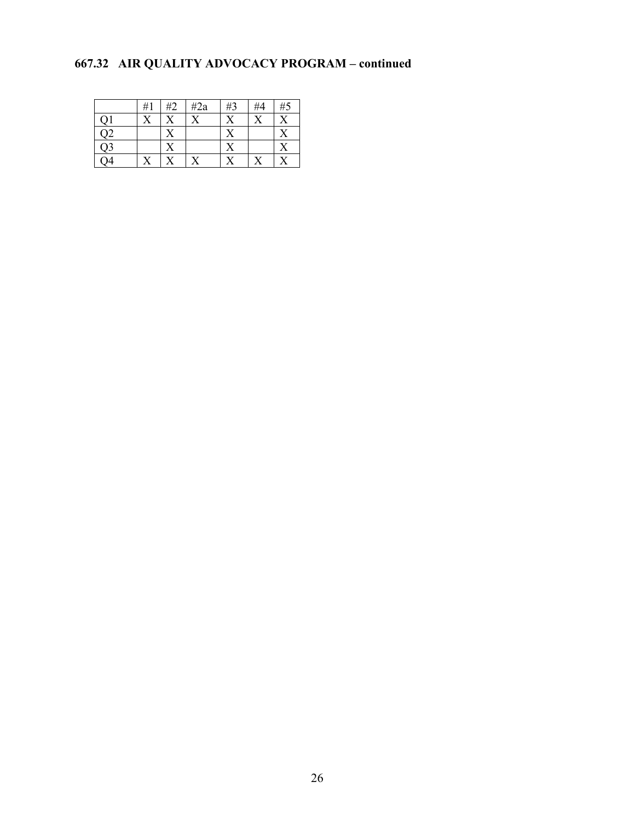## **667.32 AIR QUALITY ADVOCACY PROGRAM – continued**

|                 | #1 | #2 | $\#2a$ | #3 | #4 | #5           |
|-----------------|----|----|--------|----|----|--------------|
|                 |    |    |        |    |    | $\mathbf{v}$ |
| $\overline{Q}2$ |    |    |        |    |    |              |
| $\overline{Q}$  |    |    |        |    |    |              |
|                 |    |    |        |    |    |              |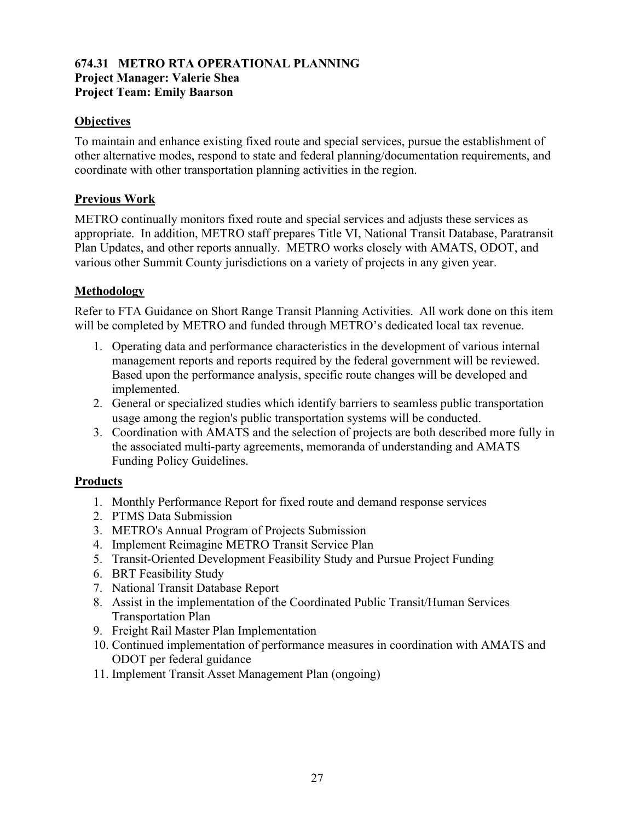#### **674.31 METRO RTA OPERATIONAL PLANNING Project Manager: Valerie Shea Project Team: Emily Baarson**

#### **Objectives**

To maintain and enhance existing fixed route and special services, pursue the establishment of other alternative modes, respond to state and federal planning/documentation requirements, and coordinate with other transportation planning activities in the region.

#### **Previous Work**

METRO continually monitors fixed route and special services and adjusts these services as appropriate. In addition, METRO staff prepares Title VI, National Transit Database, Paratransit Plan Updates, and other reports annually. METRO works closely with AMATS, ODOT, and various other Summit County jurisdictions on a variety of projects in any given year.

#### **Methodology**

Refer to FTA Guidance on Short Range Transit Planning Activities. All work done on this item will be completed by METRO and funded through METRO's dedicated local tax revenue.

- 1. Operating data and performance characteristics in the development of various internal management reports and reports required by the federal government will be reviewed. Based upon the performance analysis, specific route changes will be developed and implemented.
- 2. General or specialized studies which identify barriers to seamless public transportation usage among the region's public transportation systems will be conducted.
- 3. Coordination with AMATS and the selection of projects are both described more fully in the associated multi-party agreements, memoranda of understanding and AMATS Funding Policy Guidelines.

- 1. Monthly Performance Report for fixed route and demand response services
- 2. PTMS Data Submission
- 3. METRO's Annual Program of Projects Submission
- 4. Implement Reimagine METRO Transit Service Plan
- 5. Transit-Oriented Development Feasibility Study and Pursue Project Funding
- 6. BRT Feasibility Study
- 7. National Transit Database Report
- 8. Assist in the implementation of the Coordinated Public Transit/Human Services Transportation Plan
- 9. Freight Rail Master Plan Implementation
- 10. Continued implementation of performance measures in coordination with AMATS and ODOT per federal guidance
- 11. Implement Transit Asset Management Plan (ongoing)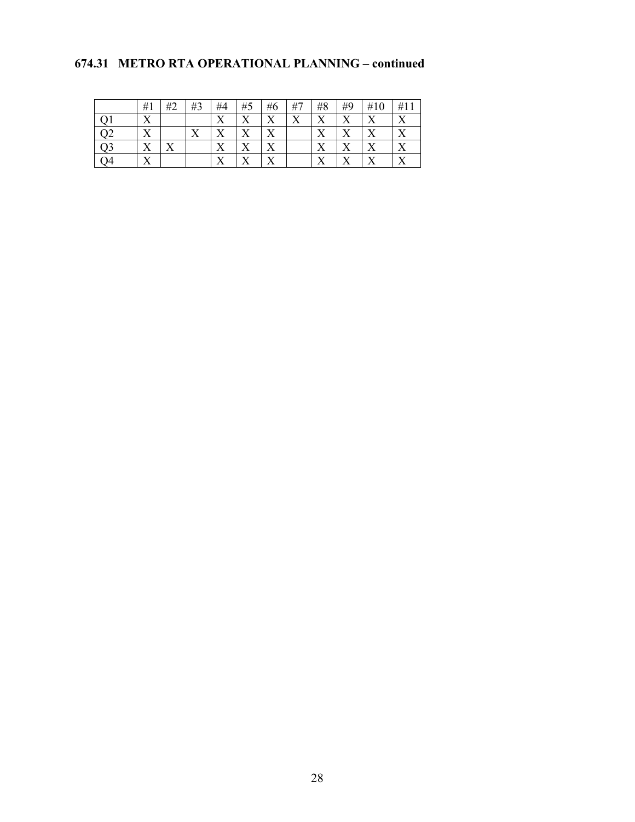#### **674.31 METRO RTA OPERATIONAL PLANNING – continued**

| #1        | #2 | #3 | #4      | #5      | #6     | #7               | #8     | #9 | #10 | #11          |
|-----------|----|----|---------|---------|--------|------------------|--------|----|-----|--------------|
| ٦Z<br>∡⊾  |    |    | v<br>୵⊾ | v       | v      | $\mathbf v$<br>л | v<br>л | ∡  |     | v            |
| ۲Z<br>∡   |    | ∡  |         | v<br>∡⊾ | v<br>л |                  | л      | ∡  |     | $\mathbf{v}$ |
| v<br>∡    |    |    | v       | ٦z      | v      |                  | v<br>л | △  |     | $\mathbf{x}$ |
| v 7<br>∡⊾ |    |    | v 7     | v 7     | T7     |                  | ۳z     | ∡⊾ |     | $\mathbf{v}$ |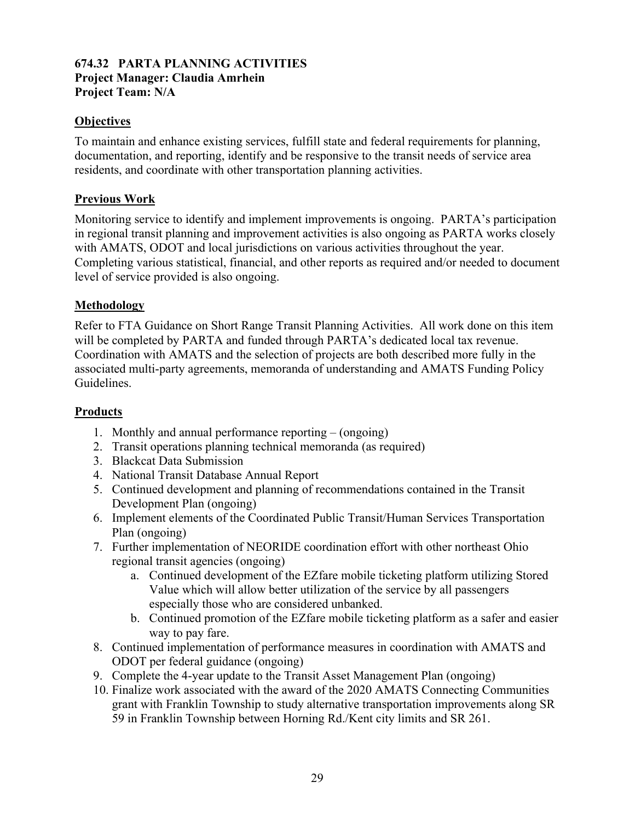#### **674.32 PARTA PLANNING ACTIVITIES Project Manager: Claudia Amrhein Project Team: N/A**

#### **Objectives**

To maintain and enhance existing services, fulfill state and federal requirements for planning, documentation, and reporting, identify and be responsive to the transit needs of service area residents, and coordinate with other transportation planning activities.

#### **Previous Work**

Monitoring service to identify and implement improvements is ongoing. PARTA's participation in regional transit planning and improvement activities is also ongoing as PARTA works closely with AMATS, ODOT and local jurisdictions on various activities throughout the year. Completing various statistical, financial, and other reports as required and/or needed to document level of service provided is also ongoing.

#### **Methodology**

Refer to FTA Guidance on Short Range Transit Planning Activities. All work done on this item will be completed by PARTA and funded through PARTA's dedicated local tax revenue. Coordination with AMATS and the selection of projects are both described more fully in the associated multi-party agreements, memoranda of understanding and AMATS Funding Policy Guidelines.

- 1. Monthly and annual performance reporting (ongoing)
- 2. Transit operations planning technical memoranda (as required)
- 3. Blackcat Data Submission
- 4. National Transit Database Annual Report
- 5. Continued development and planning of recommendations contained in the Transit Development Plan (ongoing)
- 6. Implement elements of the Coordinated Public Transit/Human Services Transportation Plan (ongoing)
- 7. Further implementation of NEORIDE coordination effort with other northeast Ohio regional transit agencies (ongoing)
	- a. Continued development of the EZfare mobile ticketing platform utilizing Stored Value which will allow better utilization of the service by all passengers especially those who are considered unbanked.
	- b. Continued promotion of the EZfare mobile ticketing platform as a safer and easier way to pay fare.
- 8. Continued implementation of performance measures in coordination with AMATS and ODOT per federal guidance (ongoing)
- 9. Complete the 4-year update to the Transit Asset Management Plan (ongoing)
- 10. Finalize work associated with the award of the 2020 AMATS Connecting Communities grant with Franklin Township to study alternative transportation improvements along SR 59 in Franklin Township between Horning Rd./Kent city limits and SR 261.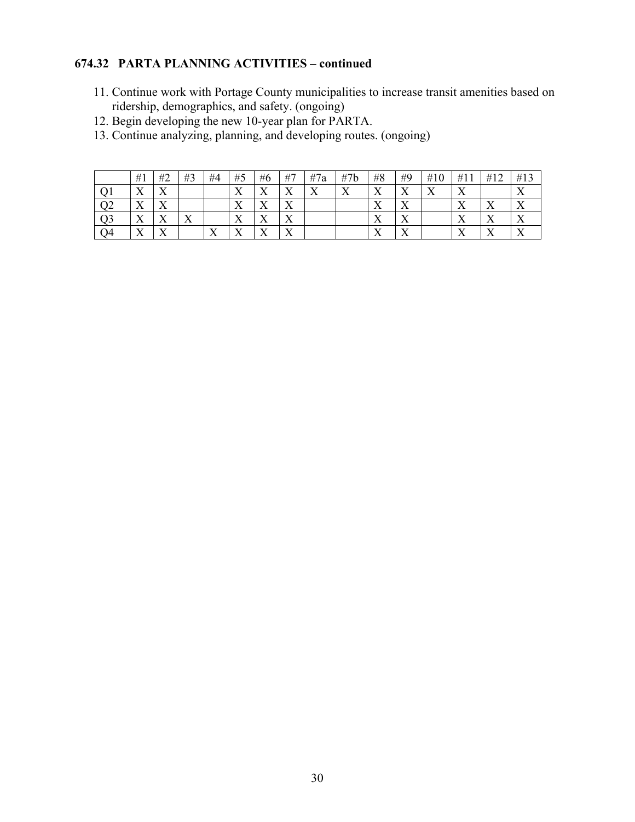#### **674.32 PARTA PLANNING ACTIVITIES – continued**

- 11. Continue work with Portage County municipalities to increase transit amenities based on ridership, demographics, and safety. (ongoing)
- 12. Begin developing the new 10-year plan for PARTA.
- 13. Continue analyzing, planning, and developing routes. (ongoing)

|    | #1                        | #2                | #3 | #4                | #5                        | #6                        | #7                        | #7a                       | #7b                       | #8                        | #9                        | #10                | #11                       | #12                       | #13          |
|----|---------------------------|-------------------|----|-------------------|---------------------------|---------------------------|---------------------------|---------------------------|---------------------------|---------------------------|---------------------------|--------------------|---------------------------|---------------------------|--------------|
|    | $\mathbf{v}$<br>$\Lambda$ | $\mathbf{v}$<br>∡ |    |                   | $\mathbf{v}$<br>$\Lambda$ | $\mathbf{v}$<br>$\Lambda$ | $\mathbf{v}$<br>$\Lambda$ | $\mathbf{v}$<br>$\lambda$ | $\mathbf{x}$<br>$\Lambda$ | $\mathbf{v}$<br>∡⊾        | $\mathbf{v}$<br>$\lambda$ | $\mathbf{v}$<br>∡⊾ | $\mathbf{x}$<br>∡⊾        |                           |              |
| ╯  | $\mathbf{v}$<br>$\Lambda$ | $\mathbf{v}$<br>∡ |    |                   | $\mathbf{v}$<br>$\Lambda$ | $\mathbf{v}$<br>$\Lambda$ | $\mathbf{v}$<br>$\Lambda$ |                           |                           | $\mathbf{v}$<br>$\Lambda$ | ◥◸<br>$\Lambda$           |                    | $\mathbf{x}$<br>$\Lambda$ | v<br>$\lambda$            |              |
|    | $\mathbf{v}$<br>$\Lambda$ | $\mathbf{v}$<br>∡ | ∡⊾ |                   | $\mathbf{v}$<br>$\Lambda$ | $\mathbf{v}$<br>$\Lambda$ | $\mathbf{v}$<br>$\Lambda$ |                           |                           | $\mathbf{x}$<br>$\Lambda$ | $\mathbf{v}$<br>$\Lambda$ |                    | $\mathbf{x}$<br>$\Lambda$ | $\mathbf{v}$<br>$\Lambda$ |              |
| O4 | $\mathbf{v}$<br>$\Lambda$ | $\mathbf{v}$<br>∡ |    | $\mathbf{v}$<br>∡ | $\mathbf{v}$<br>л         | $\mathbf{v}$<br>$\Lambda$ | $\mathbf{v}$<br>$\Lambda$ |                           |                           | $\mathbf{v}$<br>∡⊾        | $\mathbf{x}$<br>Λ         |                    | $\mathbf{x}$<br>∡         | $\mathbf{v}$<br>$\lambda$ | $\mathbf{v}$ |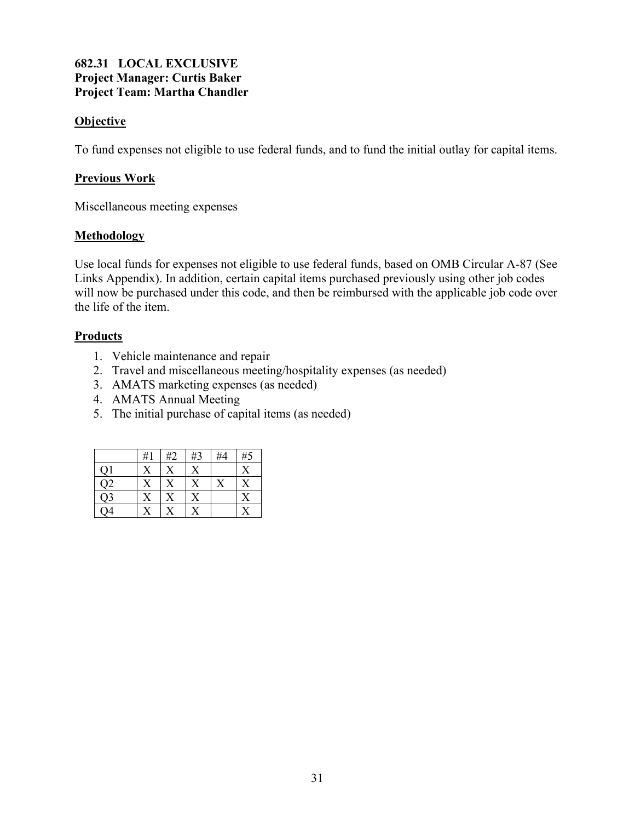#### **682.31 LOCAL EXCLUSIVE Project Manager: Curtis Baker Project Team: Martha Chandler**

#### **Objective**

To fund expenses not eligible to use federal funds, and to fund the initial outlay for capital items.

#### **Previous Work**

Miscellaneous meeting expenses

#### **Methodology**

Use local funds for expenses not eligible to use federal funds, based on OMB Circular A-87 (See Links Appendix). In addition, certain capital items purchased previously using other job codes will now be purchased under this code, and then be reimbursed with the applicable job code over the life of the item.

- 1. Vehicle maintenance and repair
- 2. Travel and miscellaneous meeting/hospitality expenses (as needed)
- 3. AMATS marketing expenses (as needed)
- 4. AMATS Annual Meeting
- 5. The initial purchase of capital items (as needed)

|                  | #1 | #2 | #3                      | #4 | #5             |
|------------------|----|----|-------------------------|----|----------------|
| Q1               |    |    | $\rm\overline{X}$       |    | X              |
| $\overline{Q2}$  |    |    | $\overline{\mathrm{X}}$ |    | $\overline{X}$ |
| $\overline{Q}$ 3 |    |    | $\overline{X}$          |    |                |
| $\overline{Q4}$  |    |    |                         |    |                |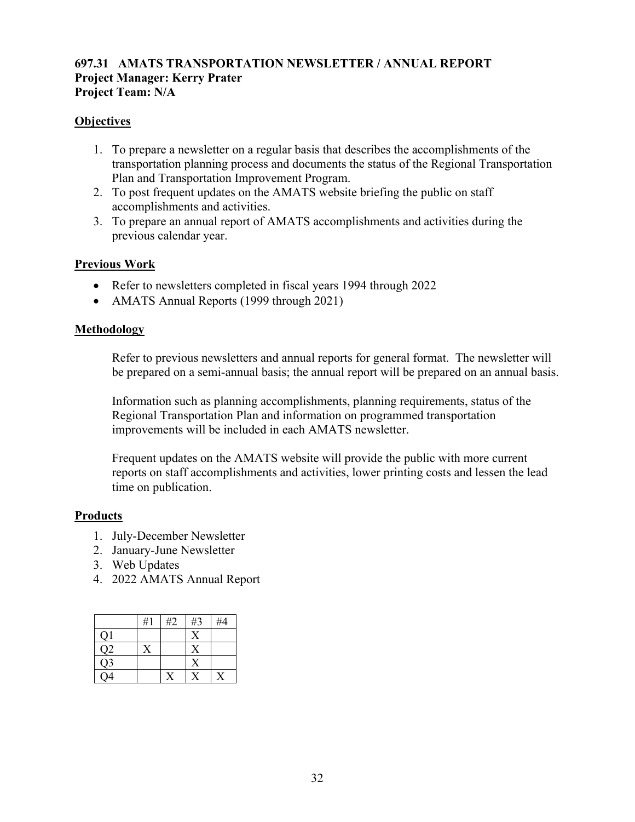#### **697.31 AMATS TRANSPORTATION NEWSLETTER / ANNUAL REPORT Project Manager: Kerry Prater Project Team: N/A**

#### **Objectives**

- 1. To prepare a newsletter on a regular basis that describes the accomplishments of the transportation planning process and documents the status of the Regional Transportation Plan and Transportation Improvement Program.
- 2. To post frequent updates on the AMATS website briefing the public on staff accomplishments and activities.
- 3. To prepare an annual report of AMATS accomplishments and activities during the previous calendar year.

#### **Previous Work**

- Refer to newsletters completed in fiscal years 1994 through 2022
- AMATS Annual Reports (1999 through 2021)

#### **Methodology**

Refer to previous newsletters and annual reports for general format. The newsletter will be prepared on a semi-annual basis; the annual report will be prepared on an annual basis.

Information such as planning accomplishments, planning requirements, status of the Regional Transportation Plan and information on programmed transportation improvements will be included in each AMATS newsletter.

Frequent updates on the AMATS website will provide the public with more current reports on staff accomplishments and activities, lower printing costs and lessen the lead time on publication.

- 1. July-December Newsletter
- 2. January-June Newsletter
- 3. Web Updates
- 4. 2022 AMATS Annual Report

|                 | #1 | #2 | #3 | #4 |
|-----------------|----|----|----|----|
| Q1              |    |    | X  |    |
| Q2              |    |    | X  |    |
| Q <sub>3</sub>  |    |    | X  |    |
| $\overline{O4}$ |    |    |    |    |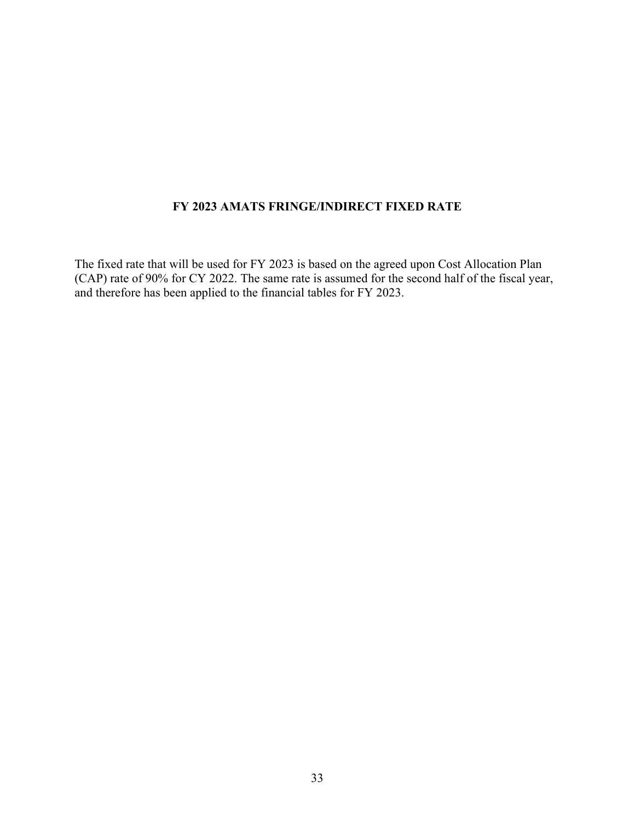#### **FY 2023 AMATS FRINGE/INDIRECT FIXED RATE**

The fixed rate that will be used for FY 2023 is based on the agreed upon Cost Allocation Plan (CAP) rate of 90% for CY 2022. The same rate is assumed for the second half of the fiscal year, and therefore has been applied to the financial tables for FY 2023.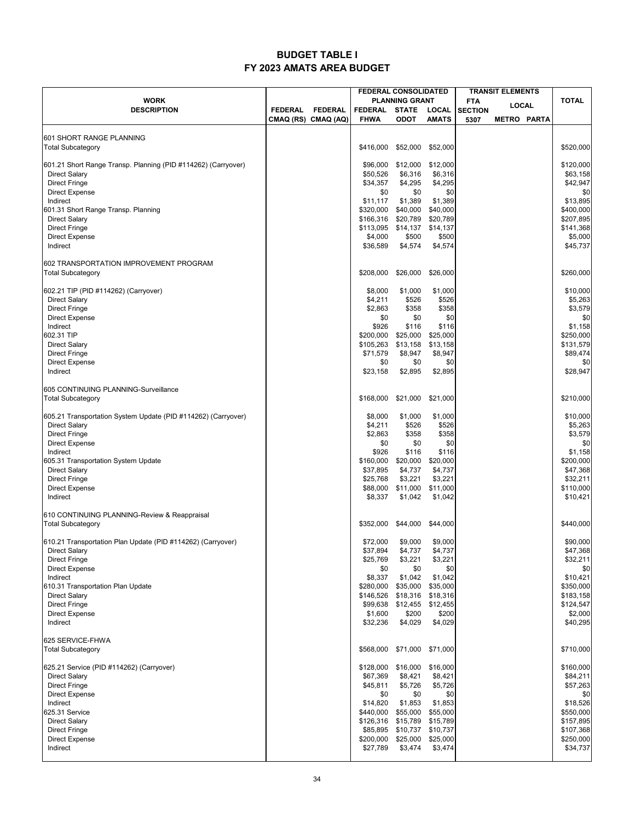#### **BUDGET TABLE I FY 2023 AMATS AREA BUDGET**

|                                                               |                     |                | <b>FEDERAL CONSOLIDATED</b><br><b>TRANSIT ELEMENTS</b> |                             |                       |                |                    |           |
|---------------------------------------------------------------|---------------------|----------------|--------------------------------------------------------|-----------------------------|-----------------------|----------------|--------------------|-----------|
| <b>WORK</b>                                                   |                     |                | <b>PLANNING GRANT</b><br><b>FTA</b>                    |                             | LOCAL                 | <b>TOTAL</b>   |                    |           |
| <b>DESCRIPTION</b>                                            | <b>FEDERAL</b>      | <b>FEDERAL</b> | <b>FEDERAL</b><br><b>FHWA</b>                          | <b>STATE</b><br><b>ODOT</b> | LOCAL<br><b>AMATS</b> | <b>SECTION</b> |                    |           |
|                                                               | CMAQ (RS) CMAQ (AQ) |                |                                                        |                             |                       | 5307           | <b>METRO PARTA</b> |           |
| 601 SHORT RANGE PLANNING                                      |                     |                |                                                        |                             |                       |                |                    |           |
| <b>Total Subcategory</b>                                      |                     |                | \$416,000                                              | \$52,000                    | \$52,000              |                |                    | \$520,000 |
|                                                               |                     |                |                                                        |                             |                       |                |                    |           |
| 601.21 Short Range Transp. Planning (PID #114262) (Carryover) |                     |                | \$96,000                                               | \$12,000                    | \$12,000              |                |                    | \$120,000 |
| <b>Direct Salary</b>                                          |                     |                | \$50,526                                               | \$6,316                     | \$6,316               |                |                    | \$63,158  |
| <b>Direct Fringe</b>                                          |                     |                | \$34,357                                               | \$4,295                     | \$4,295               |                |                    | \$42,947  |
| <b>Direct Expense</b>                                         |                     |                | \$0                                                    | \$0                         | \$0                   |                |                    | \$0       |
| Indirect                                                      |                     |                | \$11,117                                               | \$1,389                     | \$1,389               |                |                    | \$13,895  |
| 601.31 Short Range Transp. Planning                           |                     |                | \$320,000                                              | \$40,000                    | \$40,000              |                |                    | \$400,000 |
| <b>Direct Salary</b>                                          |                     |                | \$166,316                                              | \$20,789                    | \$20,789              |                |                    | \$207,895 |
| <b>Direct Fringe</b>                                          |                     |                | \$113,095                                              | \$14,137                    | \$14,137              |                |                    | \$141,368 |
| <b>Direct Expense</b>                                         |                     |                | \$4,000                                                | \$500                       | \$500                 |                |                    | \$5,000   |
| Indirect                                                      |                     |                | \$36,589                                               | \$4,574                     | \$4,574               |                |                    | \$45,737  |
| 602 TRANSPORTATION IMPROVEMENT PROGRAM                        |                     |                |                                                        |                             |                       |                |                    |           |
| <b>Total Subcategory</b>                                      |                     |                | \$208,000                                              | \$26,000                    | \$26,000              |                |                    | \$260,000 |
|                                                               |                     |                |                                                        |                             |                       |                |                    |           |
| 602.21 TIP (PID #114262) (Carryover)                          |                     |                | \$8,000                                                | \$1,000                     | \$1,000               |                |                    | \$10,000  |
| <b>Direct Salary</b>                                          |                     |                | \$4,211                                                | \$526                       | \$526                 |                |                    | \$5,263   |
| <b>Direct Fringe</b>                                          |                     |                | \$2,863                                                | \$358                       | \$358                 |                |                    | \$3,579   |
| <b>Direct Expense</b>                                         |                     |                | \$0                                                    | \$0                         | \$0                   |                |                    | \$0       |
| Indirect                                                      |                     |                | \$926                                                  | \$116                       | \$116                 |                |                    | \$1,158   |
| 602.31 TIP                                                    |                     |                | \$200,000                                              | \$25,000                    | \$25,000              |                |                    | \$250,000 |
| <b>Direct Salary</b>                                          |                     |                | \$105,263                                              | \$13,158                    | \$13,158              |                |                    | \$131,579 |
| <b>Direct Fringe</b>                                          |                     |                | \$71,579                                               | \$8,947                     | \$8,947               |                |                    | \$89,474  |
| <b>Direct Expense</b>                                         |                     |                | \$0                                                    | \$0                         | \$0                   |                |                    | \$0       |
| Indirect                                                      |                     |                | \$23,158                                               | \$2,895                     | \$2,895               |                |                    | \$28,947  |
|                                                               |                     |                |                                                        |                             |                       |                |                    |           |
| 605 CONTINUING PLANNING-Surveillance                          |                     |                |                                                        |                             |                       |                |                    |           |
| <b>Total Subcategory</b>                                      |                     |                | \$168,000                                              | \$21,000                    | \$21,000              |                |                    | \$210,000 |
|                                                               |                     |                |                                                        |                             |                       |                |                    |           |
| 605.21 Transportation System Update (PID #114262) (Carryover) |                     |                | \$8,000                                                | \$1,000                     | \$1,000               |                |                    | \$10,000  |
| <b>Direct Salary</b>                                          |                     |                | \$4,211                                                | \$526                       | \$526                 |                |                    | \$5,263   |
| <b>Direct Fringe</b>                                          |                     |                | \$2,863                                                | \$358                       | \$358                 |                |                    | \$3,579   |
| <b>Direct Expense</b>                                         |                     |                | \$0                                                    | \$0                         | \$0                   |                |                    | \$0       |
| Indirect                                                      |                     |                | \$926                                                  | \$116                       | \$116                 |                |                    | \$1,158   |
| 605.31 Transportation System Update                           |                     |                | \$160,000                                              | \$20,000                    | \$20,000              |                |                    | \$200,000 |
| <b>Direct Salary</b>                                          |                     |                | \$37,895                                               | \$4,737                     | \$4,737               |                |                    | \$47,368  |
| <b>Direct Fringe</b>                                          |                     |                | \$25,768                                               | \$3,221                     | \$3,221               |                |                    | \$32,211  |
| <b>Direct Expense</b>                                         |                     |                | \$88,000                                               | \$11,000                    | \$11,000              |                |                    | \$110,000 |
| Indirect                                                      |                     |                | \$8,337                                                | \$1,042                     | \$1,042               |                |                    | \$10,421  |
| 610 CONTINUING PLANNING-Review & Reappraisal                  |                     |                |                                                        |                             |                       |                |                    |           |
| <b>Total Subcategory</b>                                      |                     |                | \$352.000                                              | \$44,000                    | \$44,000              |                |                    | \$440,000 |
|                                                               |                     |                |                                                        |                             |                       |                |                    |           |
| 610.21 Transportation Plan Update (PID #114262) (Carryover)   |                     |                | \$72,000                                               | \$9,000                     | \$9,000               |                |                    | \$90,000  |
| <b>Direct Salary</b>                                          |                     |                | \$37,894                                               | \$4,737                     | \$4,737               |                |                    | \$47,368  |
| <b>Direct Fringe</b>                                          |                     |                | \$25,769                                               | \$3,221                     | \$3,221               |                |                    | \$32,211  |
| <b>Direct Expense</b>                                         |                     |                | \$0                                                    | \$0                         | \$0                   |                |                    | \$0       |
| Indirect                                                      |                     |                | \$8,337                                                | \$1,042                     | \$1,042               |                |                    | \$10,421  |
| 610.31 Transportation Plan Update                             |                     |                | \$280,000                                              | \$35,000                    | \$35,000              |                |                    | \$350,000 |
| <b>Direct Salary</b>                                          |                     |                | \$146,526                                              | \$18,316                    | \$18,316              |                |                    | \$183,158 |
| <b>Direct Fringe</b>                                          |                     |                | \$99,638                                               | \$12,455                    | \$12,455              |                |                    | \$124,547 |
| <b>Direct Expense</b>                                         |                     |                | \$1,600                                                | \$200                       | \$200                 |                |                    | \$2,000   |
| Indirect                                                      |                     |                | \$32,236                                               | \$4,029                     | \$4,029               |                |                    | \$40,295  |
|                                                               |                     |                |                                                        |                             |                       |                |                    |           |
| 625 SERVICE-FHWA                                              |                     |                |                                                        |                             |                       |                |                    |           |
| <b>Total Subcategory</b>                                      |                     |                | \$568,000                                              | \$71,000                    | \$71,000              |                |                    | \$710,000 |
|                                                               |                     |                |                                                        |                             |                       |                |                    |           |
| 625.21 Service (PID #114262) (Carryover)                      |                     |                | \$128,000                                              | \$16,000                    | \$16,000              |                |                    | \$160,000 |
| <b>Direct Salary</b>                                          |                     |                | \$67,369                                               | \$8,421                     | \$8,421               |                |                    | \$84,211  |
| <b>Direct Fringe</b>                                          |                     |                | \$45,811                                               | \$5,726                     | \$5,726               |                |                    | \$57,263  |
| <b>Direct Expense</b>                                         |                     |                | \$0                                                    | \$0                         | \$0                   |                |                    | \$0       |
| Indirect                                                      |                     |                | \$14,820                                               | \$1,853                     | \$1,853               |                |                    | \$18,526  |
| 625.31 Service                                                |                     |                | \$440,000                                              | \$55,000                    | \$55,000              |                |                    | \$550,000 |
| <b>Direct Salary</b>                                          |                     |                | \$126,316                                              | \$15,789                    | \$15,789              |                |                    | \$157,895 |
| <b>Direct Fringe</b>                                          |                     |                | \$85,895                                               | \$10,737                    | \$10,737              |                |                    | \$107,368 |
| <b>Direct Expense</b>                                         |                     |                | \$200,000                                              | \$25,000                    | \$25,000              |                |                    | \$250,000 |
| Indirect                                                      |                     |                | \$27,789                                               | \$3,474                     | \$3,474               |                |                    | \$34,737  |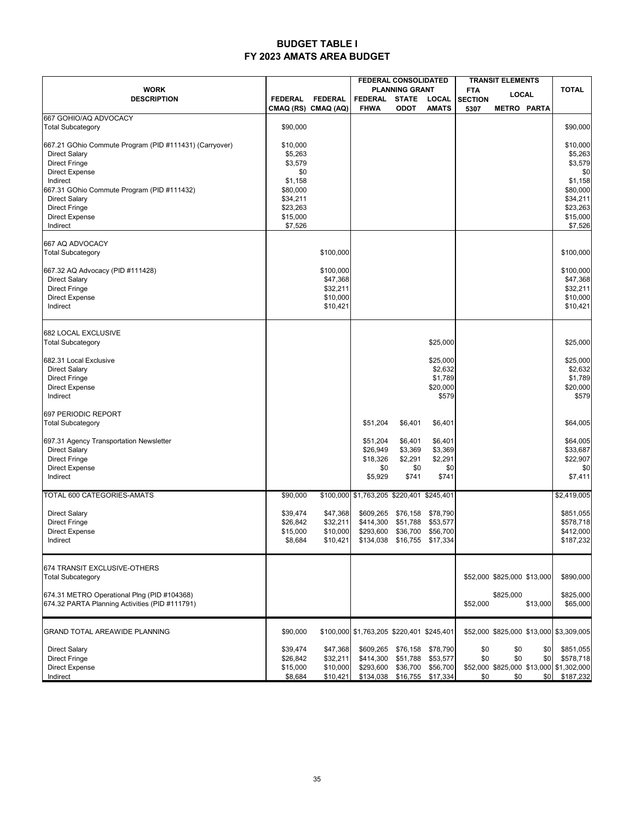#### **BUDGET TABLE I FY 2023 AMATS AREA BUDGET**

|                                                                    |                      |                      | <b>FEDERAL CONSOLIDATED</b>               |                                         | <b>TRANSIT ELEMENTS</b> |                |                             |            |                                         |
|--------------------------------------------------------------------|----------------------|----------------------|-------------------------------------------|-----------------------------------------|-------------------------|----------------|-----------------------------|------------|-----------------------------------------|
| <b>WORK</b>                                                        |                      |                      | <b>PLANNING GRANT</b>                     |                                         | <b>FTA</b><br>LOCAL     |                | <b>TOTAL</b>                |            |                                         |
| <b>DESCRIPTION</b>                                                 | <b>FEDERAL</b>       | <b>FEDERAL</b>       | <b>FEDERAL</b><br><b>FHWA</b>             | STATE                                   | LOCAL<br><b>AMATS</b>   | <b>SECTION</b> |                             |            |                                         |
| 667 GOHIO/AQ ADVOCACY                                              |                      | CMAQ (RS) CMAQ (AQ)  |                                           | <b>ODOT</b>                             |                         | 5307           | <b>METRO PARTA</b>          |            |                                         |
| <b>Total Subcategory</b>                                           | \$90,000             |                      |                                           |                                         |                         |                |                             |            | \$90,000                                |
| 667.21 GOhio Commute Program (PID #111431) (Carryover)             | \$10,000             |                      |                                           |                                         |                         |                |                             |            | \$10,000                                |
| <b>Direct Salary</b>                                               | \$5,263              |                      |                                           |                                         |                         |                |                             |            | \$5,263                                 |
| <b>Direct Fringe</b>                                               | \$3,579              |                      |                                           |                                         |                         |                |                             |            | \$3,579                                 |
| <b>Direct Expense</b>                                              | \$0                  |                      |                                           |                                         |                         |                |                             |            | \$0                                     |
| Indirect                                                           | \$1,158              |                      |                                           |                                         |                         |                |                             |            | \$1,158                                 |
| 667.31 GOhio Commute Program (PID #111432)<br><b>Direct Salary</b> | \$80,000<br>\$34,211 |                      |                                           |                                         |                         |                |                             |            | \$80,000<br>\$34,211                    |
| <b>Direct Fringe</b>                                               | \$23,263             |                      |                                           |                                         |                         |                |                             |            | \$23,263                                |
| <b>Direct Expense</b>                                              | \$15,000             |                      |                                           |                                         |                         |                |                             |            | \$15,000                                |
| Indirect                                                           | \$7,526              |                      |                                           |                                         |                         |                |                             |            | \$7,526                                 |
| 667 AQ ADVOCACY                                                    |                      |                      |                                           |                                         |                         |                |                             |            |                                         |
| <b>Total Subcategory</b>                                           |                      | \$100,000            |                                           |                                         |                         |                |                             |            | \$100,000                               |
|                                                                    |                      |                      |                                           |                                         |                         |                |                             |            |                                         |
| 667.32 AQ Advocacy (PID #111428)                                   |                      | \$100,000            |                                           |                                         |                         |                |                             |            | \$100,000                               |
| <b>Direct Salary</b>                                               |                      | \$47,368             |                                           |                                         |                         |                |                             |            | \$47,368                                |
| <b>Direct Fringe</b><br><b>Direct Expense</b>                      |                      | \$32,211<br>\$10,000 |                                           |                                         |                         |                |                             |            | \$32,211<br>\$10,000                    |
| Indirect                                                           |                      | \$10,421             |                                           |                                         |                         |                |                             |            | \$10,421                                |
|                                                                    |                      |                      |                                           |                                         |                         |                |                             |            |                                         |
| 682 LOCAL EXCLUSIVE                                                |                      |                      |                                           |                                         |                         |                |                             |            |                                         |
| <b>Total Subcategory</b>                                           |                      |                      |                                           |                                         | \$25,000                |                |                             |            | \$25,000                                |
| 682.31 Local Exclusive                                             |                      |                      |                                           |                                         | \$25,000                |                |                             |            | \$25,000                                |
| <b>Direct Salary</b>                                               |                      |                      |                                           |                                         | \$2,632                 |                |                             |            | \$2,632                                 |
| <b>Direct Fringe</b>                                               |                      |                      |                                           |                                         | \$1,789                 |                |                             |            | \$1,789                                 |
| Direct Expense                                                     |                      |                      |                                           |                                         | \$20,000                |                |                             |            | \$20,000                                |
| Indirect                                                           |                      |                      |                                           |                                         | \$579                   |                |                             |            | \$579                                   |
| 697 PERIODIC REPORT                                                |                      |                      |                                           |                                         |                         |                |                             |            |                                         |
| <b>Total Subcategory</b>                                           |                      |                      | \$51,204                                  | \$6,401                                 | \$6,401                 |                |                             |            | \$64,005                                |
|                                                                    |                      |                      |                                           |                                         |                         |                |                             |            |                                         |
| 697.31 Agency Transportation Newsletter                            |                      |                      | \$51,204                                  | \$6,401                                 | \$6,401                 |                |                             |            | \$64,005                                |
| <b>Direct Salary</b><br><b>Direct Fringe</b>                       |                      |                      | \$26,949<br>\$18,326                      | \$3,369<br>\$2,291                      | \$3,369<br>\$2,291      |                |                             |            | \$33,687<br>\$22,907                    |
| <b>Direct Expense</b>                                              |                      |                      | \$0                                       | \$0                                     | \$0                     |                |                             |            | \$0                                     |
| Indirect                                                           |                      |                      | \$5,929                                   | \$741                                   | \$741                   |                |                             |            | \$7,411                                 |
| TOTAL 600 CATEGORIES-AMATS                                         | \$90,000             |                      | \$100,000 \$1,763,205 \$220,401 \$245,401 |                                         |                         |                |                             |            | \$2,419,005                             |
| <b>Direct Salary</b>                                               | \$39,474             | \$47,368             |                                           | \$609,265 \$76,158 \$78,790             |                         |                |                             |            | \$851,055                               |
| <b>Direct Fringe</b>                                               | \$26,842             | \$32,211             |                                           | \$414,300 \$51,788 \$53,577             |                         |                |                             |            | \$578,718                               |
| Direct Expense                                                     | \$15,000             | \$10,000             |                                           | \$293,600 \$36,700 \$56,700             |                         |                |                             |            | \$412,000                               |
| Indirect                                                           | \$8,684              | \$10,421             |                                           | \$134,038 \$16,755 \$17,334             |                         |                |                             |            | \$187,232                               |
|                                                                    |                      |                      |                                           |                                         |                         |                |                             |            |                                         |
| 674 TRANSIT EXCLUSIVE-OTHERS<br><b>Total Subcategory</b>           |                      |                      |                                           |                                         |                         |                | \$52,000 \$825,000 \$13,000 |            | \$890,000                               |
|                                                                    |                      |                      |                                           |                                         |                         |                |                             |            |                                         |
| 674.31 METRO Operational Plng (PID #104368)                        |                      |                      |                                           |                                         |                         |                | \$825,000                   |            | \$825,000                               |
| 674.32 PARTA Planning Activities (PID #111791)                     |                      |                      |                                           |                                         |                         | \$52,000       |                             | \$13,000   | \$65,000                                |
| <b>GRAND TOTAL AREAWIDE PLANNING</b>                               | \$90,000             |                      | \$100,000 \$1,763,205 \$220,401 \$245,401 |                                         |                         |                |                             |            | \$52,000 \$825,000 \$13,000 \$3,309,005 |
|                                                                    |                      |                      |                                           |                                         |                         |                |                             |            |                                         |
| <b>Direct Salary</b><br><b>Direct Fringe</b>                       | \$39,474<br>\$26,842 | \$47,368<br>\$32,211 | \$414,300                                 | \$609,265 \$76,158 \$78,790<br>\$51,788 | \$53,577                | \$0<br>\$0     | \$0<br>\$0                  | \$0<br>\$0 | \$851,055<br>\$578,718                  |
| <b>Direct Expense</b>                                              | \$15,000             | \$10,000             | \$293,600                                 | \$36,700                                | \$56,700                |                |                             |            | \$52,000 \$825,000 \$13,000 \$1,302,000 |
| Indirect                                                           | \$8,684              | \$10,421             |                                           | \$134,038 \$16,755 \$17,334             |                         | \$0            | \$0                         | \$0        | \$187,232                               |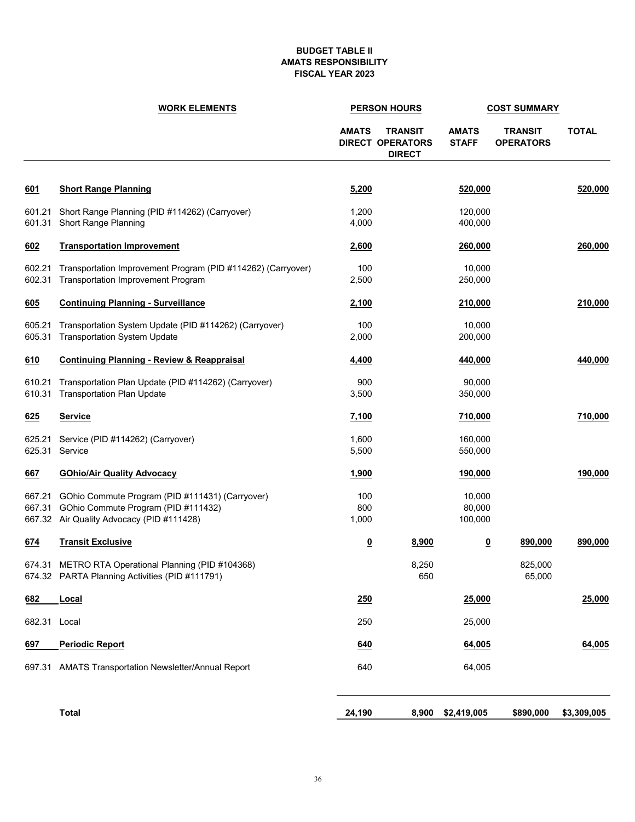#### **BUDGET TABLE II AMATS RESPONSIBILITY FISCAL YEAR 2023**

|                  | <b>WORK ELEMENTS</b>                                                                                                                |                     | <b>PERSON HOURS</b>                                        | <b>COST SUMMARY</b>          |                                    |              |
|------------------|-------------------------------------------------------------------------------------------------------------------------------------|---------------------|------------------------------------------------------------|------------------------------|------------------------------------|--------------|
|                  |                                                                                                                                     | <b>AMATS</b>        | <b>TRANSIT</b><br><b>DIRECT OPERATORS</b><br><b>DIRECT</b> | <b>AMATS</b><br><b>STAFF</b> | <b>TRANSIT</b><br><b>OPERATORS</b> | <b>TOTAL</b> |
| 601              | <b>Short Range Planning</b>                                                                                                         | 5,200               |                                                            | 520,000                      |                                    | 520,000      |
| 601.21<br>601.31 | Short Range Planning (PID #114262) (Carryover)<br><b>Short Range Planning</b>                                                       | 1,200<br>4,000      |                                                            | 120,000<br>400,000           |                                    |              |
| 602              | <b>Transportation Improvement</b>                                                                                                   | 2,600               |                                                            | 260,000                      |                                    | 260,000      |
| 602.21<br>602.31 | Transportation Improvement Program (PID #114262) (Carryover)<br><b>Transportation Improvement Program</b>                           | 100<br>2,500        |                                                            | 10,000<br>250,000            |                                    |              |
| 605              | <b>Continuing Planning - Surveillance</b>                                                                                           | 2,100               |                                                            | 210,000                      |                                    | 210,000      |
| 605.21<br>605.31 | Transportation System Update (PID #114262) (Carryover)<br><b>Transportation System Update</b>                                       | 100<br>2,000        |                                                            | 10,000<br>200,000            |                                    |              |
| 610              | <b>Continuing Planning - Review &amp; Reappraisal</b>                                                                               | 4,400               |                                                            | 440,000                      |                                    | 440,000      |
| 610.21<br>610.31 | Transportation Plan Update (PID #114262) (Carryover)<br><b>Transportation Plan Update</b>                                           | 900<br>3,500        |                                                            | 90,000<br>350,000            |                                    |              |
| 625              | <b>Service</b>                                                                                                                      | 7,100               |                                                            | 710,000                      |                                    | 710,000      |
| 625.21<br>625.31 | Service (PID #114262) (Carryover)<br>Service                                                                                        | 1,600<br>5,500      |                                                            | 160,000<br>550,000           |                                    |              |
| 667              | <b>GOhio/Air Quality Advocacy</b>                                                                                                   | 1,900               |                                                            | 190,000                      |                                    | 190,000      |
| 667.21<br>667.31 | GOhio Commute Program (PID #111431) (Carryover)<br>GOhio Commute Program (PID #111432)<br>667.32 Air Quality Advocacy (PID #111428) | 100<br>800<br>1,000 |                                                            | 10,000<br>80,000<br>100,000  |                                    |              |
| 674              | <b>Transit Exclusive</b>                                                                                                            | <u>0</u>            | 8,900                                                      | $\overline{\mathbf{0}}$      | 890,000                            | 890,000      |
| 674.31           | METRO RTA Operational Planning (PID #104368)<br>674.32 PARTA Planning Activities (PID #111791)                                      |                     | 8,250<br>650                                               |                              | 825,000<br>65,000                  |              |
| 682              | <b>Local</b>                                                                                                                        | 250                 |                                                            | 25,000                       |                                    | 25,000       |
| 682.31 Local     |                                                                                                                                     | 250                 |                                                            | 25,000                       |                                    |              |
| 697              | <b>Periodic Report</b>                                                                                                              | <u>640</u>          |                                                            | 64,005                       |                                    | 64,005       |
|                  | 697.31 AMATS Transportation Newsletter/Annual Report                                                                                | 640                 |                                                            | 64,005                       |                                    |              |
|                  | <b>Total</b>                                                                                                                        | 24,190              | 8,900                                                      | \$2,419,005                  | \$890,000                          | \$3,309,005  |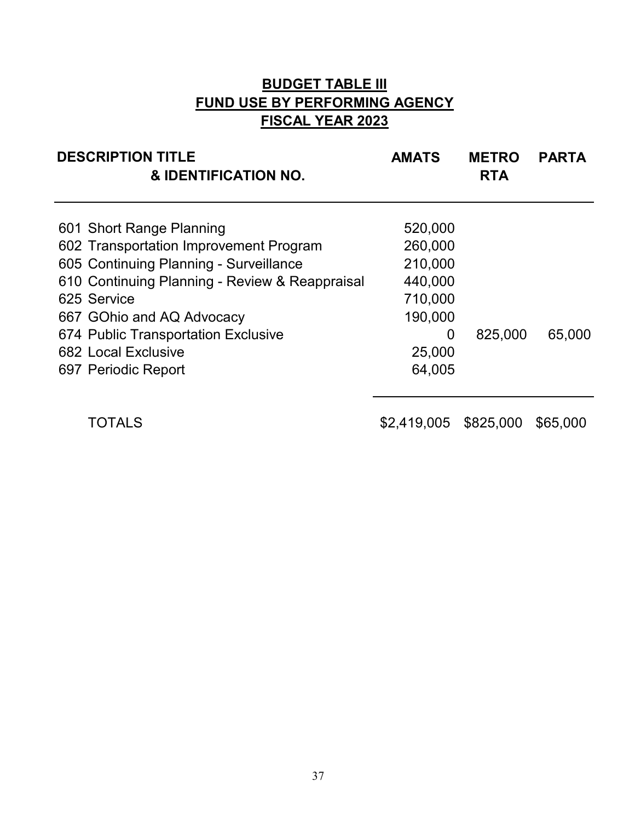## **BUDGET TABLE III FUND USE BY PERFORMING AGENCY FISCAL YEAR 2023**

| <b>DESCRIPTION TITLE</b><br>& IDENTIFICATION NO.                   | <b>AMATS</b>       | <b>METRO</b><br><b>RTA</b> | <b>PARTA</b> |  |  |
|--------------------------------------------------------------------|--------------------|----------------------------|--------------|--|--|
| 601 Short Range Planning<br>602 Transportation Improvement Program | 520,000<br>260,000 |                            |              |  |  |
| 605 Continuing Planning - Surveillance                             | 210,000            |                            |              |  |  |
| 610 Continuing Planning - Review & Reappraisal                     | 440,000            |                            |              |  |  |
| 625 Service                                                        | 710,000            |                            |              |  |  |
| 667 GOhio and AQ Advocacy                                          | 190,000            |                            |              |  |  |
| 674 Public Transportation Exclusive                                | 0                  | 825,000                    | 65.000       |  |  |
| <b>682 Local Exclusive</b>                                         | 25,000             |                            |              |  |  |
| 697 Periodic Report                                                | 64,005             |                            |              |  |  |

TOTALS \$2,419,005 \$825,000 \$65,000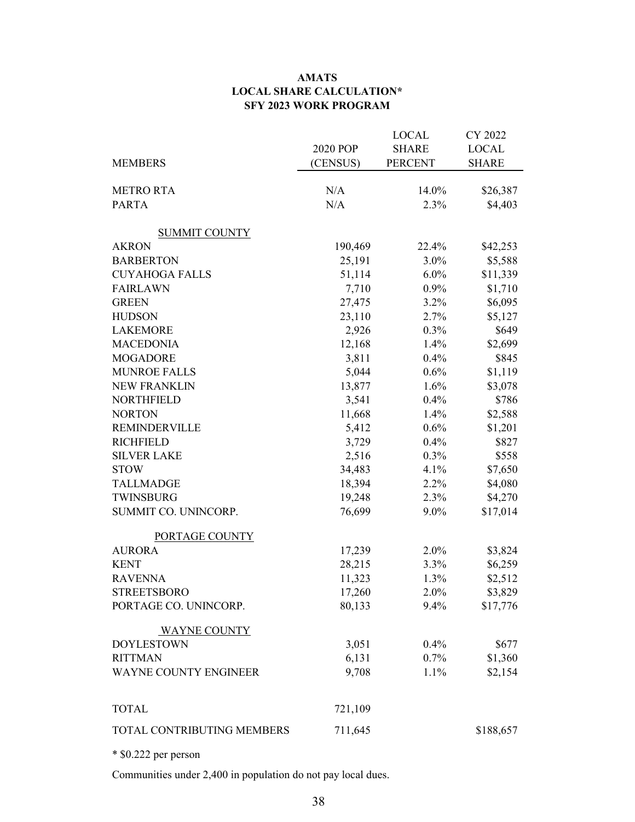#### **AMATS LOCAL SHARE CALCULATION\* SFY 2023 WORK PROGRAM**

| <b>MEMBERS</b>             | 2020 POP<br>(CENSUS) | <b>LOCAL</b><br><b>SHARE</b><br><b>PERCENT</b> | CY 2022<br><b>LOCAL</b><br><b>SHARE</b> |
|----------------------------|----------------------|------------------------------------------------|-----------------------------------------|
| <b>METRO RTA</b>           | N/A                  | 14.0%                                          | \$26,387                                |
| <b>PARTA</b>               | N/A                  | 2.3%                                           | \$4,403                                 |
| <b>SUMMIT COUNTY</b>       |                      |                                                |                                         |
| <b>AKRON</b>               | 190,469              | 22.4%                                          | \$42,253                                |
| <b>BARBERTON</b>           | 25,191               | 3.0%                                           | \$5,588                                 |
| <b>CUYAHOGA FALLS</b>      | 51,114               | $6.0\%$                                        | \$11,339                                |
| <b>FAIRLAWN</b>            | 7,710                | 0.9%                                           | \$1,710                                 |
| <b>GREEN</b>               | 27,475               | 3.2%                                           | \$6,095                                 |
| <b>HUDSON</b>              | 23,110               | 2.7%                                           | \$5,127                                 |
| <b>LAKEMORE</b>            | 2,926                | 0.3%                                           | \$649                                   |
| <b>MACEDONIA</b>           | 12,168               | 1.4%                                           | \$2,699                                 |
| <b>MOGADORE</b>            | 3,811                | 0.4%                                           | \$845                                   |
| <b>MUNROE FALLS</b>        | 5,044                | 0.6%                                           | \$1,119                                 |
| <b>NEW FRANKLIN</b>        | 13,877               | 1.6%                                           | \$3,078                                 |
| <b>NORTHFIELD</b>          | 3,541                | 0.4%                                           | \$786                                   |
| <b>NORTON</b>              | 11,668               | 1.4%                                           | \$2,588                                 |
| <b>REMINDERVILLE</b>       | 5,412                | 0.6%                                           | \$1,201                                 |
| <b>RICHFIELD</b>           | 3,729                | 0.4%                                           | \$827                                   |
| <b>SILVER LAKE</b>         | 2,516                | 0.3%                                           | \$558                                   |
| <b>STOW</b>                | 34,483               | 4.1%                                           | \$7,650                                 |
| <b>TALLMADGE</b>           | 18,394               | 2.2%                                           | \$4,080                                 |
| TWINSBURG                  | 19,248               | 2.3%                                           | \$4,270                                 |
| SUMMIT CO. UNINCORP.       | 76,699               | 9.0%                                           | \$17,014                                |
| PORTAGE COUNTY             |                      |                                                |                                         |
| <b>AURORA</b>              | 17,239               | 2.0%                                           | \$3,824                                 |
| <b>KENT</b>                | 28,215               | 3.3%                                           | \$6,259                                 |
| <b>RAVENNA</b>             | 11,323               | 1.3%                                           | \$2,512                                 |
| <b>STREETSBORO</b>         | 17,260               | $2.0\%$                                        | \$3,829                                 |
| PORTAGE CO. UNINCORP.      | 80,133               | 9.4%                                           | \$17,776                                |
| <b>WAYNE COUNTY</b>        |                      |                                                |                                         |
| <b>DOYLESTOWN</b>          | 3,051                | 0.4%                                           | \$677                                   |
| <b>RITTMAN</b>             | 6,131                | 0.7%                                           | \$1,360                                 |
| WAYNE COUNTY ENGINEER      | 9,708                | 1.1%                                           | \$2,154                                 |
| <b>TOTAL</b>               | 721,109              |                                                |                                         |
| TOTAL CONTRIBUTING MEMBERS | 711,645              |                                                | \$188,657                               |

\* \$0.222 per person

Communities under 2,400 in population do not pay local dues.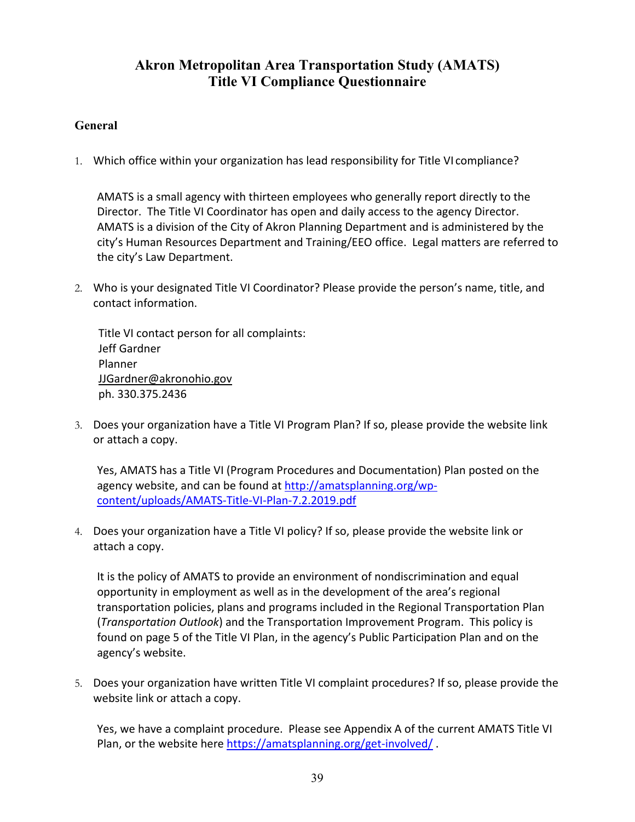## **Akron Metropolitan Area Transportation Study (AMATS) Title VI Compliance Questionnaire**

#### **General**

1. Which office within your organization has lead responsibility for Title VI compliance?

AMATS is a small agency with thirteen employees who generally report directly to the Director. The Title VI Coordinator has open and daily access to the agency Director. AMATS is a division of the City of Akron Planning Department and is administered by the city's Human Resources Department and Training/EEO office. Legal matters are referred to the city's Law Department.

2. Who is your designated Title VI Coordinator? Please provide the person's name, title, and contact information.

Title VI contact person for all complaints: Jeff Gardner Planner JJGardner@akronohio.gov ph. 330.375.2436

3. Does your organization have a Title VI Program Plan? If so, please provide the website link or attach a copy.

Yes, AMATS has a Title VI (Program Procedures and Documentation) Plan posted on the agency website, and can be found at http://amatsplanning.org/wpcontent/uploads/AMATS‐Title‐VI‐Plan‐7.2.2019.pdf

4. Does your organization have a Title VI policy? If so, please provide the website link or attach a copy.

It is the policy of AMATS to provide an environment of nondiscrimination and equal opportunity in employment as well as in the development of the area's regional transportation policies, plans and programs included in the Regional Transportation Plan (*Transportation Outlook*) and the Transportation Improvement Program. This policy is found on page 5 of the Title VI Plan, in the agency's Public Participation Plan and on the agency's website.

5. Does your organization have written Title VI complaint procedures? If so, please provide the website link or attach a copy.

Yes, we have a complaint procedure. Please see Appendix A of the current AMATS Title VI Plan, or the website here https://amatsplanning.org/get-involved/.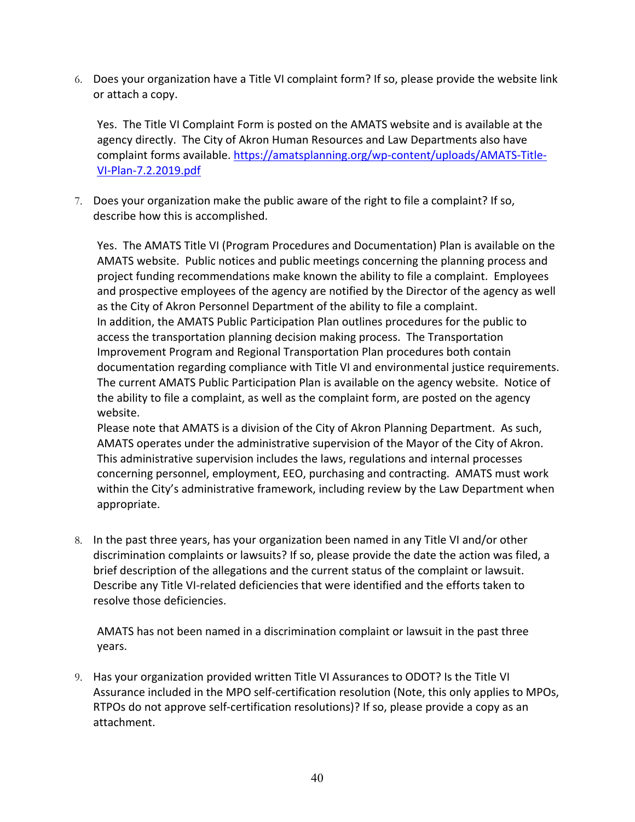6. Does your organization have a Title VI complaint form? If so, please provide the website link or attach a copy.

Yes. The Title VI Complaint Form is posted on the AMATS website and is available at the agency directly. The City of Akron Human Resources and Law Departments also have complaint forms available. https://amatsplanning.org/wp‐content/uploads/AMATS‐Title‐ VI‐Plan‐7.2.2019.pdf

7. Does your organization make the public aware of the right to file a complaint? If so, describe how this is accomplished.

Yes. The AMATS Title VI (Program Procedures and Documentation) Plan is available on the AMATS website. Public notices and public meetings concerning the planning process and project funding recommendations make known the ability to file a complaint. Employees and prospective employees of the agency are notified by the Director of the agency as well as the City of Akron Personnel Department of the ability to file a complaint. In addition, the AMATS Public Participation Plan outlines procedures for the public to access the transportation planning decision making process. The Transportation Improvement Program and Regional Transportation Plan procedures both contain documentation regarding compliance with Title VI and environmental justice requirements. The current AMATS Public Participation Plan is available on the agency website. Notice of the ability to file a complaint, as well as the complaint form, are posted on the agency website.

Please note that AMATS is a division of the City of Akron Planning Department. As such, AMATS operates under the administrative supervision of the Mayor of the City of Akron. This administrative supervision includes the laws, regulations and internal processes concerning personnel, employment, EEO, purchasing and contracting. AMATS must work within the City's administrative framework, including review by the Law Department when appropriate.

8. In the past three years, has your organization been named in any Title VI and/or other discrimination complaints or lawsuits? If so, please provide the date the action was filed, a brief description of the allegations and the current status of the complaint or lawsuit. Describe any Title VI‐related deficiencies that were identified and the efforts taken to resolve those deficiencies.

AMATS has not been named in a discrimination complaint or lawsuit in the past three years.

9. Has your organization provided written Title VI Assurances to ODOT? Is the Title VI Assurance included in the MPO self‐certification resolution (Note, this only applies to MPOs, RTPOs do not approve self‐certification resolutions)? If so, please provide a copy as an attachment.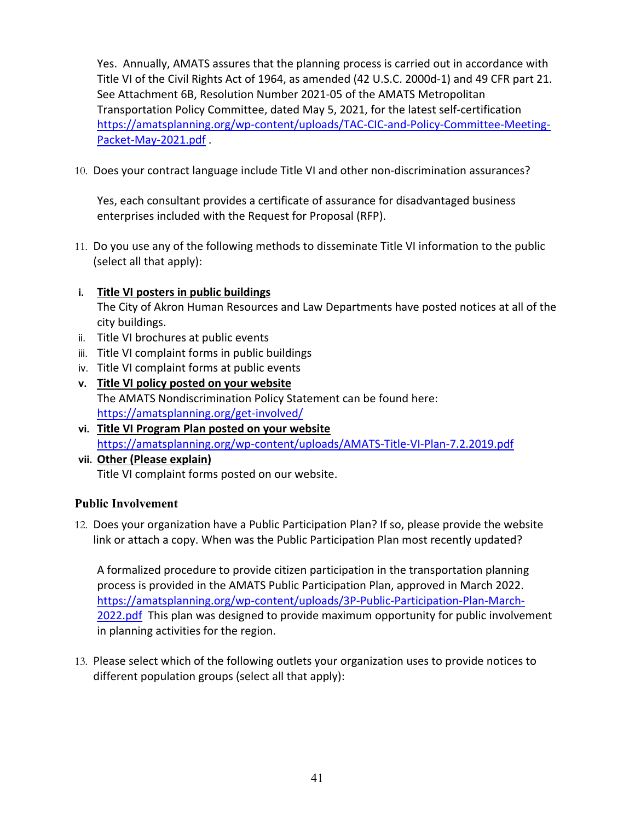Yes. Annually, AMATS assures that the planning process is carried out in accordance with Title VI of the Civil Rights Act of 1964, as amended (42 U.S.C. 2000d‐1) and 49 CFR part 21. See Attachment 6B, Resolution Number 2021‐05 of the AMATS Metropolitan Transportation Policy Committee, dated May 5, 2021, for the latest self‐certification https://amatsplanning.org/wp‐content/uploads/TAC‐CIC‐and‐Policy‐Committee‐Meeting‐ Packet‐May‐2021.pdf .

10. Does your contract language include Title VI and other non-discrimination assurances?

Yes, each consultant provides a certificate of assurance for disadvantaged business enterprises included with the Request for Proposal (RFP).

- 11. Do you use any of the following methods to disseminate Title VI information to the public (select all that apply):
- **i. Title VI posters in public buildings**

The City of Akron Human Resources and Law Departments have posted notices at all of the city buildings.

- ii. Title VI brochures at public events
- iii. Title VI complaint forms in public buildings
- iv. Title VI complaint forms at public events
- **v. Title VI policy posted on your website** The AMATS Nondiscrimination Policy Statement can be found here: https://amatsplanning.org/get‐involved/
- **vi. Title VI Program Plan posted on your website** https://amatsplanning.org/wp‐content/uploads/AMATS‐Title‐VI‐Plan‐7.2.2019.pdf
- **vii. Other (Please explain)** Title VI complaint forms posted on our website.

#### **Public Involvement**

12. Does your organization have a Public Participation Plan? If so, please provide the website link or attach a copy. When was the Public Participation Plan most recently updated?

A formalized procedure to provide citizen participation in the transportation planning process is provided in the AMATS Public Participation Plan, approved in March 2022. https://amatsplanning.org/wp‐content/uploads/3P‐Public‐Participation‐Plan‐March‐ 2022.pdf This plan was designed to provide maximum opportunity for public involvement in planning activities for the region.

13. Please select which of the following outlets your organization uses to provide notices to different population groups (select all that apply):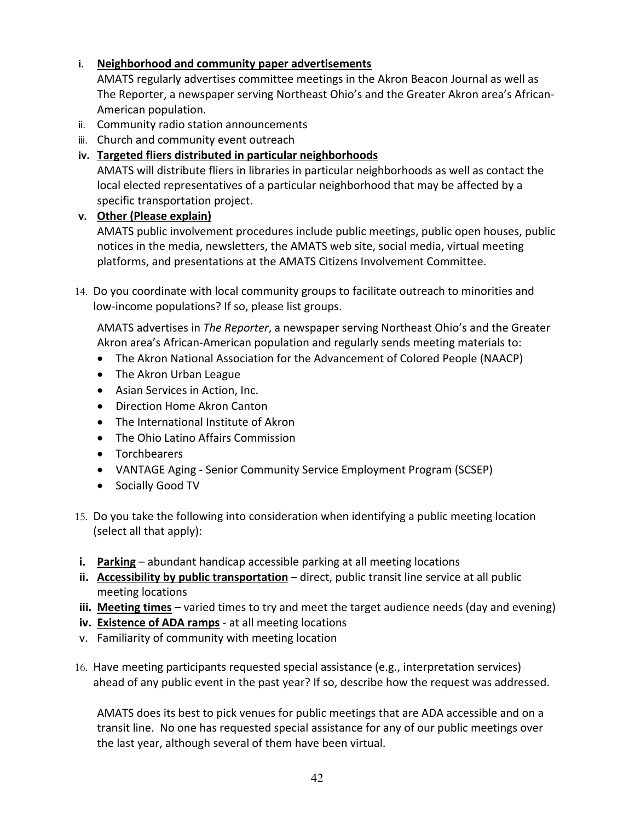#### **i. Neighborhood and community paper advertisements**

AMATS regularly advertises committee meetings in the Akron Beacon Journal as well as The Reporter, a newspaper serving Northeast Ohio's and the Greater Akron area's African‐ American population.

- ii. Community radio station announcements
- iii. Church and community event outreach
- **iv. Targeted fliers distributed in particular neighborhoods**

AMATS will distribute fliers in libraries in particular neighborhoods as well as contact the local elected representatives of a particular neighborhood that may be affected by a specific transportation project.

#### **v. Other (Please explain)**

AMATS public involvement procedures include public meetings, public open houses, public notices in the media, newsletters, the AMATS web site, social media, virtual meeting platforms, and presentations at the AMATS Citizens Involvement Committee.

14. Do you coordinate with local community groups to facilitate outreach to minorities and low‐income populations? If so, please list groups.

AMATS advertises in *The Reporter*, a newspaper serving Northeast Ohio's and the Greater Akron area's African‐American population and regularly sends meeting materials to:

- The Akron National Association for the Advancement of Colored People (NAACP)
- The Akron Urban League
- Asian Services in Action, Inc.
- Direction Home Akron Canton
- The International Institute of Akron
- The Ohio Latino Affairs Commission
- Torchbearers
- VANTAGE Aging ‐ Senior Community Service Employment Program (SCSEP)
- Socially Good TV
- 15. Do you take the following into consideration when identifying a public meeting location (select all that apply):
- **i. Parking** abundant handicap accessible parking at all meeting locations
- **ii. Accessibility by public transportation** direct, public transit line service at all public meeting locations
- **iii. Meeting times** varied times to try and meet the target audience needs (day and evening)
- **iv. Existence of ADA ramps** ‐ at all meeting locations
- v. Familiarity of community with meeting location
- 16. Have meeting participants requested special assistance (e.g., interpretation services) ahead of any public event in the past year? If so, describe how the request was addressed.

AMATS does its best to pick venues for public meetings that are ADA accessible and on a transit line. No one has requested special assistance for any of our public meetings over the last year, although several of them have been virtual.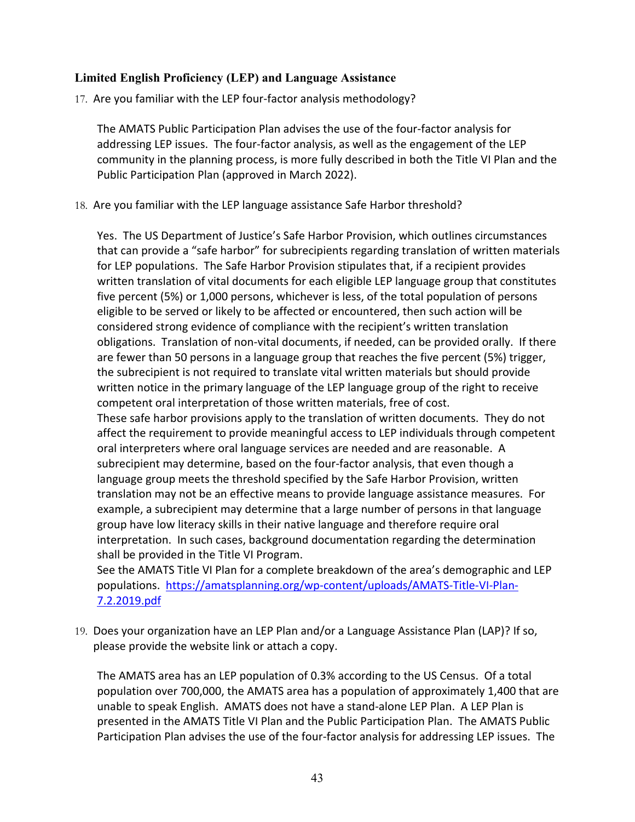#### **Limited English Proficiency (LEP) and Language Assistance**

17. Are you familiar with the LEP four-factor analysis methodology?

The AMATS Public Participation Plan advises the use of the four‐factor analysis for addressing LEP issues. The four‐factor analysis, as well as the engagement of the LEP community in the planning process, is more fully described in both the Title VI Plan and the Public Participation Plan (approved in March 2022).

18. Are you familiar with the LEP language assistance Safe Harbor threshold?

Yes. The US Department of Justice's Safe Harbor Provision, which outlines circumstances that can provide a "safe harbor" for subrecipients regarding translation of written materials for LEP populations. The Safe Harbor Provision stipulates that, if a recipient provides written translation of vital documents for each eligible LEP language group that constitutes five percent (5%) or 1,000 persons, whichever is less, of the total population of persons eligible to be served or likely to be affected or encountered, then such action will be considered strong evidence of compliance with the recipient's written translation obligations. Translation of non‐vital documents, if needed, can be provided orally. If there are fewer than 50 persons in a language group that reaches the five percent (5%) trigger, the subrecipient is not required to translate vital written materials but should provide written notice in the primary language of the LEP language group of the right to receive competent oral interpretation of those written materials, free of cost. These safe harbor provisions apply to the translation of written documents. They do not affect the requirement to provide meaningful access to LEP individuals through competent oral interpreters where oral language services are needed and are reasonable. A subrecipient may determine, based on the four‐factor analysis, that even though a language group meets the threshold specified by the Safe Harbor Provision, written translation may not be an effective means to provide language assistance measures. For example, a subrecipient may determine that a large number of persons in that language group have low literacy skills in their native language and therefore require oral interpretation. In such cases, background documentation regarding the determination shall be provided in the Title VI Program.

See the AMATS Title VI Plan for a complete breakdown of the area's demographic and LEP populations. https://amatsplanning.org/wp‐content/uploads/AMATS‐Title‐VI‐Plan‐ 7.2.2019.pdf

19. Does your organization have an LEP Plan and/or a Language Assistance Plan (LAP)? If so, please provide the website link or attach a copy.

The AMATS area has an LEP population of 0.3% according to the US Census. Of a total population over 700,000, the AMATS area has a population of approximately 1,400 that are unable to speak English. AMATS does not have a stand‐alone LEP Plan. A LEP Plan is presented in the AMATS Title VI Plan and the Public Participation Plan. The AMATS Public Participation Plan advises the use of the four‐factor analysis for addressing LEP issues. The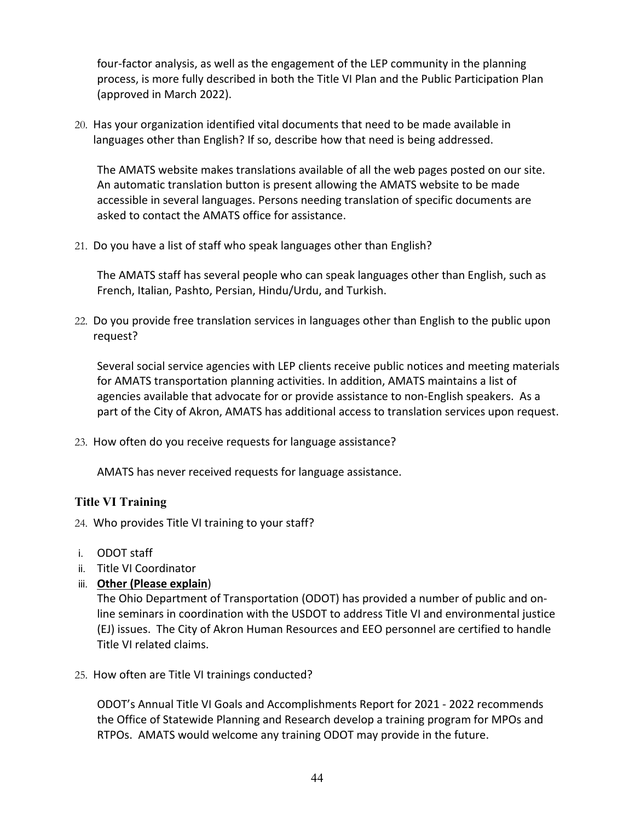four-factor analysis, as well as the engagement of the LEP community in the planning process, is more fully described in both the Title VI Plan and the Public Participation Plan (approved in March 2022).

20. Has your organization identified vital documents that need to be made available in languages other than English? If so, describe how that need is being addressed.

The AMATS website makes translations available of all the web pages posted on our site. An automatic translation button is present allowing the AMATS website to be made accessible in several languages. Persons needing translation of specific documents are asked to contact the AMATS office for assistance.

21. Do you have a list of staff who speak languages other than English?

The AMATS staff has several people who can speak languages other than English, such as French, Italian, Pashto, Persian, Hindu/Urdu, and Turkish.

22. Do you provide free translation services in languages other than English to the public upon request?

Several social service agencies with LEP clients receive public notices and meeting materials for AMATS transportation planning activities. In addition, AMATS maintains a list of agencies available that advocate for or provide assistance to non‐English speakers. As a part of the City of Akron, AMATS has additional access to translation services upon request.

23. How often do you receive requests for language assistance?

AMATS has never received requests for language assistance.

#### **Title VI Training**

- 24. Who provides Title VI training to your staff?
- i. ODOT staff
- ii. Title VI Coordinator
- iii. **Other (Please explain**)

The Ohio Department of Transportation (ODOT) has provided a number of public and on‐ line seminars in coordination with the USDOT to address Title VI and environmental justice (EJ) issues. The City of Akron Human Resources and EEO personnel are certified to handle Title VI related claims.

25. How often are Title VI trainings conducted?

ODOT's Annual Title VI Goals and Accomplishments Report for 2021 ‐ 2022 recommends the Office of Statewide Planning and Research develop a training program for MPOs and RTPOs. AMATS would welcome any training ODOT may provide in the future.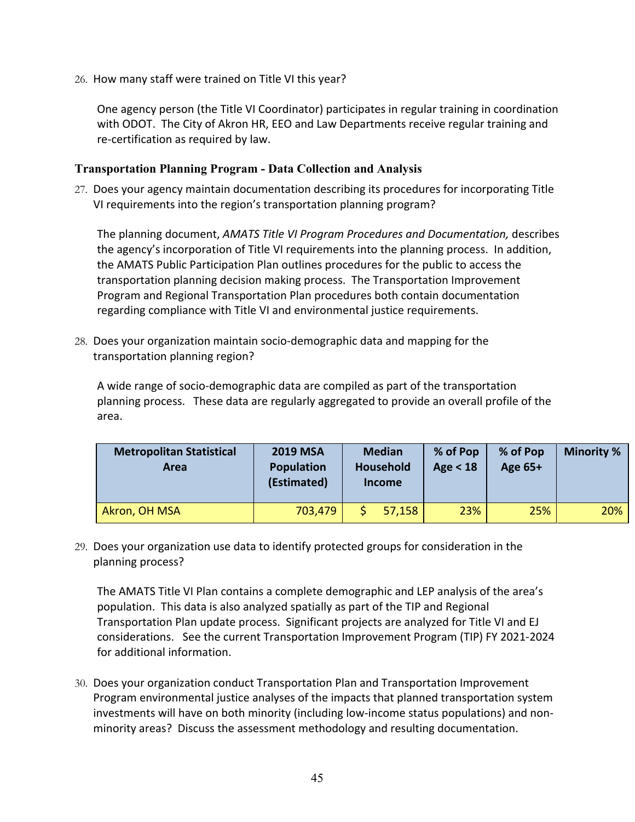26. How many staff were trained on Title VI this year?

One agency person (the Title VI Coordinator) participates in regular training in coordination with ODOT. The City of Akron HR, EEO and Law Departments receive regular training and re‐certification as required by law.

#### **Transportation Planning Program - Data Collection and Analysis**

27. Does your agency maintain documentation describing its procedures for incorporating Title VI requirements into the region's transportation planning program?

The planning document, *AMATS Title VI Program Procedures and Documentation,* describes the agency's incorporation of Title VI requirements into the planning process. In addition, the AMATS Public Participation Plan outlines procedures for the public to access the transportation planning decision making process. The Transportation Improvement Program and Regional Transportation Plan procedures both contain documentation regarding compliance with Title VI and environmental justice requirements.

28. Does your organization maintain socio‐demographic data and mapping for the transportation planning region?

A wide range of socio‐demographic data are compiled as part of the transportation planning process. These data are regularly aggregated to provide an overall profile of the area.

| <b>Metropolitan Statistical</b><br>Area | <b>2019 MSA</b><br>Population<br>(Estimated) | <b>Median</b><br>Household<br><b>Income</b> |        | % of Pop<br>Age $<$ 18 | % of Pop<br>Age 65+ | <b>Minority %</b> |
|-----------------------------------------|----------------------------------------------|---------------------------------------------|--------|------------------------|---------------------|-------------------|
| Akron, OH MSA                           | 703,479                                      |                                             | 57,158 | 23%                    | 25%                 | 20%               |

29. Does your organization use data to identify protected groups for consideration in the planning process?

The AMATS Title VI Plan contains a complete demographic and LEP analysis of the area's population. This data is also analyzed spatially as part of the TIP and Regional Transportation Plan update process. Significant projects are analyzed for Title VI and EJ considerations. See the current Transportation Improvement Program (TIP) FY 2021‐2024 for additional information.

30. Does your organization conduct Transportation Plan and Transportation Improvement Program environmental justice analyses of the impacts that planned transportation system investments will have on both minority (including low-income status populations) and nonminority areas? Discuss the assessment methodology and resulting documentation.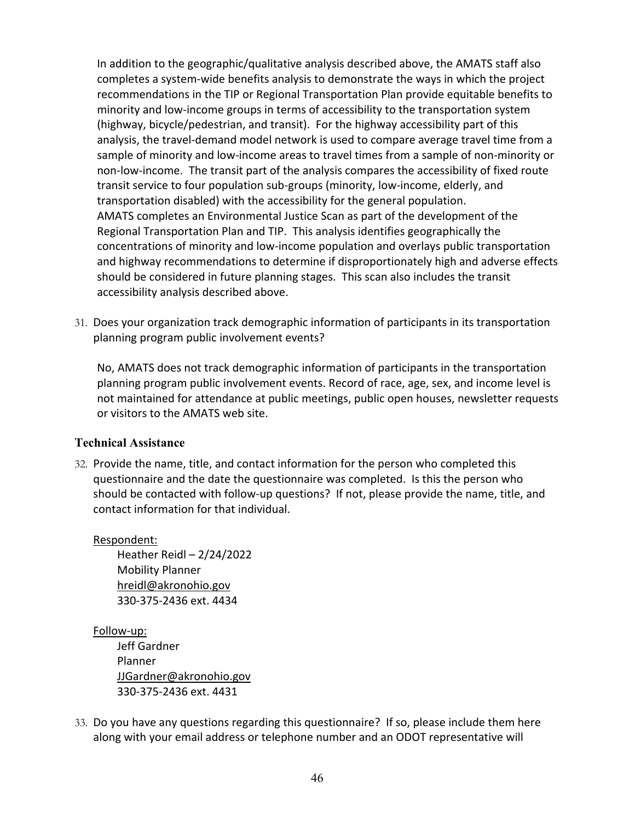In addition to the geographic/qualitative analysis described above, the AMATS staff also completes a system‐wide benefits analysis to demonstrate the ways in which the project recommendations in the TIP or Regional Transportation Plan provide equitable benefits to minority and low‐income groups in terms of accessibility to the transportation system (highway, bicycle/pedestrian, and transit). For the highway accessibility part of this analysis, the travel-demand model network is used to compare average travel time from a sample of minority and low-income areas to travel times from a sample of non-minority or non‐low‐income. The transit part of the analysis compares the accessibility of fixed route transit service to four population sub‐groups (minority, low‐income, elderly, and transportation disabled) with the accessibility for the general population. AMATS completes an Environmental Justice Scan as part of the development of the Regional Transportation Plan and TIP. This analysis identifies geographically the concentrations of minority and low‐income population and overlays public transportation and highway recommendations to determine if disproportionately high and adverse effects should be considered in future planning stages. This scan also includes the transit accessibility analysis described above.

31. Does your organization track demographic information of participants in its transportation planning program public involvement events?

No, AMATS does not track demographic information of participants in the transportation planning program public involvement events. Record of race, age, sex, and income level is not maintained for attendance at public meetings, public open houses, newsletter requests or visitors to the AMATS web site.

#### **Technical Assistance**

32. Provide the name, title, and contact information for the person who completed this questionnaire and the date the questionnaire was completed. Is this the person who should be contacted with follow-up questions? If not, please provide the name, title, and contact information for that individual.

#### Respondent:

Heather Reidl – 2/24/2022 Mobility Planner hreidl@akronohio.gov 330‐375‐2436 ext. 4434

#### Follow‐up:

Jeff Gardner Planner JJGardner@akronohio.gov 330‐375‐2436 ext. 4431

33. Do you have any questions regarding this questionnaire? If so, please include them here along with your email address or telephone number and an ODOT representative will